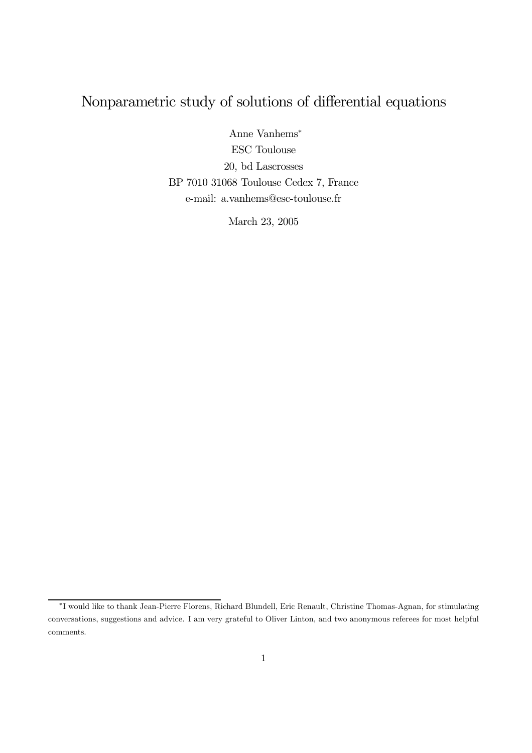## Nonparametric study of solutions of differential equations

Anne Vanhems<sup>∗</sup> ESC Toulouse 20, bd Lascrosses BP 7010 31068 Toulouse Cedex 7, France e-mail: a.vanhems@esc-toulouse.fr

March 23, 2005

<sup>∗</sup>I would like to thank Jean-Pierre Florens, Richard Blundell, Eric Renault, Christine Thomas-Agnan, for stimulating conversations, suggestions and advice. I am very grateful to Oliver Linton, and two anonymous referees for most helpful comments.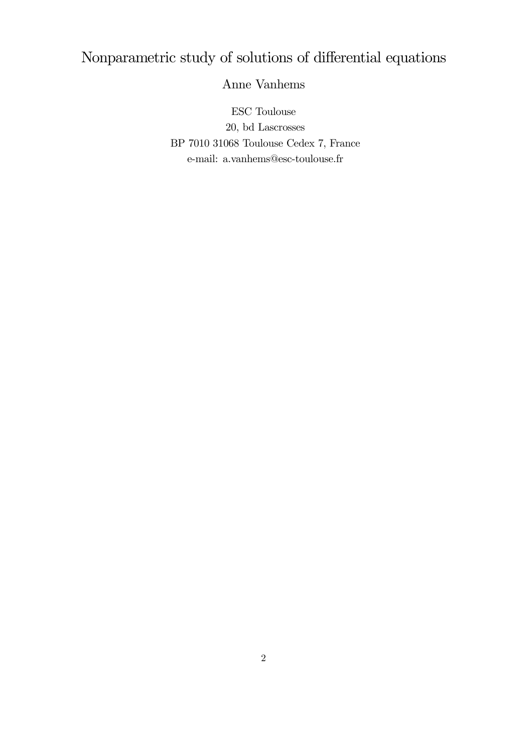# Nonparametric study of solutions of differential equations

Anne Vanhems

ESC Toulouse 20, bd Lascrosses BP 7010 31068 Toulouse Cedex 7, France e-mail: a.vanhems@esc-toulouse.fr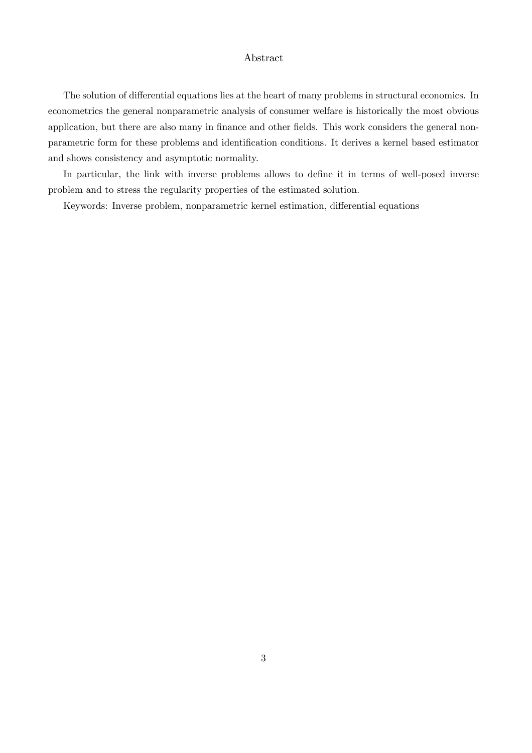#### Abstract

The solution of differential equations lies at the heart of many problems in structural economics. In econometrics the general nonparametric analysis of consumer welfare is historically the most obvious application, but there are also many in finance and other fields. This work considers the general nonparametric form for these problems and identification conditions. It derives a kernel based estimator and shows consistency and asymptotic normality.

In particular, the link with inverse problems allows to define it in terms of well-posed inverse problem and to stress the regularity properties of the estimated solution.

Keywords: Inverse problem, nonparametric kernel estimation, differential equations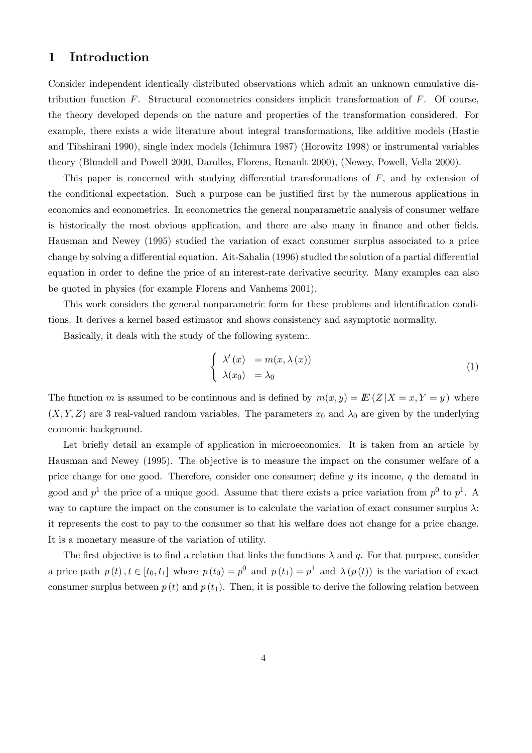## 1 Introduction

Consider independent identically distributed observations which admit an unknown cumulative distribution function  $F$ . Structural econometrics considers implicit transformation of  $F$ . Of course, the theory developed depends on the nature and properties of the transformation considered. For example, there exists a wide literature about integral transformations, like additive models (Hastie and Tibshirani 1990), single index models (Ichimura 1987) (Horowitz 1998) or instrumental variables theory (Blundell and Powell 2000, Darolles, Florens, Renault 2000), (Newey, Powell, Vella 2000).

This paper is concerned with studying differential transformations of F, and by extension of the conditional expectation. Such a purpose can be justified first by the numerous applications in economics and econometrics. In econometrics the general nonparametric analysis of consumer welfare is historically the most obvious application, and there are also many in finance and other fields. Hausman and Newey (1995) studied the variation of exact consumer surplus associated to a price change by solving a differential equation. Ait-Sahalia (1996) studied the solution of a partial differential equation in order to define the price of an interest-rate derivative security. Many examples can also be quoted in physics (for example Florens and Vanhems 2001).

This work considers the general nonparametric form for these problems and identification conditions. It derives a kernel based estimator and shows consistency and asymptotic normality.

Basically, it deals with the study of the following system:.

$$
\begin{cases}\n\lambda'(x) = m(x, \lambda(x)) \\
\lambda(x_0) = \lambda_0\n\end{cases}
$$
\n(1)

The function m is assumed to be continuous and is defined by  $m(x, y) = E(Z | X = x, Y = y)$  where  $(X, Y, Z)$  are 3 real-valued random variables. The parameters  $x_0$  and  $\lambda_0$  are given by the underlying economic background.

Let briefly detail an example of application in microeconomics. It is taken from an article by Hausman and Newey (1995). The objective is to measure the impact on the consumer welfare of a price change for one good. Therefore, consider one consumer; define  $y$  its income,  $q$  the demand in good and  $p<sup>1</sup>$  the price of a unique good. Assume that there exists a price variation from  $p<sup>0</sup>$  to  $p<sup>1</sup>$ . A way to capture the impact on the consumer is to calculate the variation of exact consumer surplus  $\lambda$ : it represents the cost to pay to the consumer so that his welfare does not change for a price change. It is a monetary measure of the variation of utility.

The first objective is to find a relation that links the functions  $\lambda$  and q. For that purpose, consider a price path  $p(t)$ ,  $t \in [t_0, t_1]$  where  $p(t_0) = p^0$  and  $p(t_1) = p^1$  and  $\lambda(p(t))$  is the variation of exact consumer surplus between  $p(t)$  and  $p(t_1)$ . Then, it is possible to derive the following relation between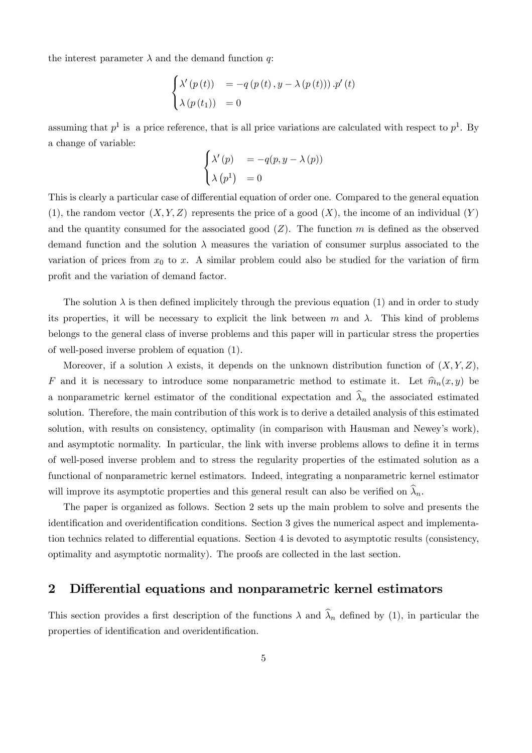the interest parameter  $\lambda$  and the demand function q:

$$
\begin{cases}\n\lambda'(p(t)) &= -q(p(t), y - \lambda(p(t))) \cdot p'(t) \\
\lambda(p(t_1)) &= 0\n\end{cases}
$$

assuming that  $p<sup>1</sup>$  is a price reference, that is all price variations are calculated with respect to  $p<sup>1</sup>$ . By a change of variable:

$$
\begin{cases}\n\lambda'(p) &= -q(p, y - \lambda(p)) \\
\lambda(p^1) &= 0\n\end{cases}
$$

This is clearly a particular case of differential equation of order one. Compared to the general equation (1), the random vector  $(X, Y, Z)$  represents the price of a good  $(X)$ , the income of an individual  $(Y)$ and the quantity consumed for the associated good  $(Z)$ . The function m is defined as the observed demand function and the solution  $\lambda$  measures the variation of consumer surplus associated to the variation of prices from  $x_0$  to x. A similar problem could also be studied for the variation of firm profit and the variation of demand factor.

The solution  $\lambda$  is then defined implicitely through the previous equation (1) and in order to study its properties, it will be necessary to explicit the link between m and  $\lambda$ . This kind of problems belongs to the general class of inverse problems and this paper will in particular stress the properties of well-posed inverse problem of equation (1).

Moreover, if a solution  $\lambda$  exists, it depends on the unknown distribution function of  $(X, Y, Z)$ , F and it is necessary to introduce some nonparametric method to estimate it. Let  $\hat{m}_n(x, y)$  be a nonparametric kernel estimator of the conditional expectation and  $\widehat{\lambda}_n$  the associated estimated solution. Therefore, the main contribution of this work is to derive a detailed analysis of this estimated solution, with results on consistency, optimality (in comparison with Hausman and Newey's work), and asymptotic normality. In particular, the link with inverse problems allows to define it in terms of well-posed inverse problem and to stress the regularity properties of the estimated solution as a functional of nonparametric kernel estimators. Indeed, integrating a nonparametric kernel estimator will improve its asymptotic properties and this general result can also be verified on  $\widehat{\lambda}_n$ .

The paper is organized as follows. Section 2 sets up the main problem to solve and presents the identification and overidentification conditions. Section 3 gives the numerical aspect and implementation technics related to differential equations. Section 4 is devoted to asymptotic results (consistency, optimality and asymptotic normality). The proofs are collected in the last section.

## 2 Differential equations and nonparametric kernel estimators

This section provides a first description of the functions  $\lambda$  and  $\hat{\lambda}_n$  defined by (1), in particular the properties of identification and overidentification.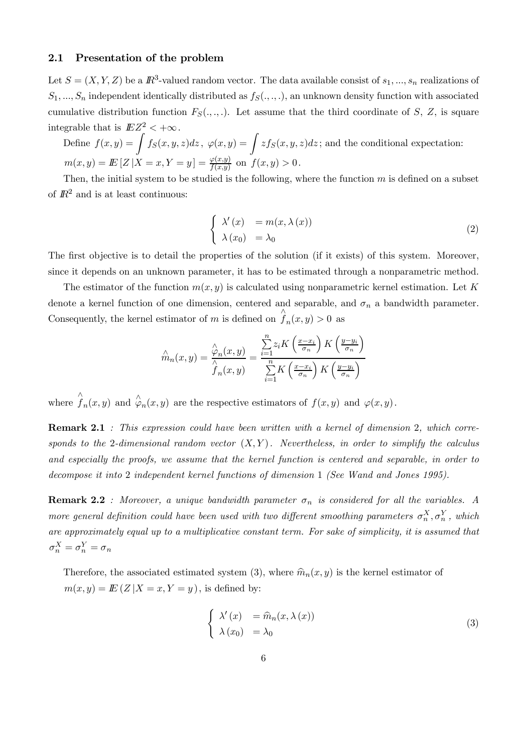#### 2.1 Presentation of the problem

Let  $S = (X, Y, Z)$  be a  $\mathbb{R}^3$ -valued random vector. The data available consist of  $s_1, ..., s_n$  realizations of  $S_1, ..., S_n$  independent identically distributed as  $f_S(., ., .)$ , an unknown density function with associated cumulative distribution function  $F_S(.,.,.)$ . Let assume that the third coordinate of S, Z, is square integrable that is  $EZ^2 < +\infty$ .

Define  $f(x,y) = \int f_S(x,y,z)dz$ ,  $\varphi(x,y) = \int z f_S(x,y,z)dz$ ; and the conditional expectation:  $m(x, y) = \mathbb{E}[Z | X = x, Y = y] = \frac{\varphi(x, y)}{f(x, y)}$  on  $f(x, y) > 0$ .

Then, the initial system to be studied is the following, where the function  $m$  is defined on a subset of  $\mathbb{R}^2$  and is at least continuous:

$$
\begin{cases}\n\lambda'(x) = m(x, \lambda(x)) \\
\lambda(x_0) = \lambda_0\n\end{cases}
$$
\n(2)

The first objective is to detail the properties of the solution (if it exists) of this system. Moreover, since it depends on an unknown parameter, it has to be estimated through a nonparametric method.

The estimator of the function  $m(x, y)$  is calculated using nonparametric kernel estimation. Let K denote a kernel function of one dimension, centered and separable, and  $\sigma_n$  a bandwidth parameter. Consequently, the kernel estimator of m is defined on  $\hat{f}_n(x, y) > 0$  as

$$
\hat{m}_n(x, y) = \frac{\hat{\varphi}_n(x, y)}{\hat{f}_n(x, y)} = \frac{\sum_{i=1}^n z_i K\left(\frac{x - x_i}{\sigma_n}\right) K\left(\frac{y - y_i}{\sigma_n}\right)}{\sum_{i=1}^n K\left(\frac{x - x_i}{\sigma_n}\right) K\left(\frac{y - y_i}{\sigma_n}\right)}
$$

where  $\hat{f}_n(x, y)$  and  $\hat{\varphi}_n(x, y)$  are the respective estimators of  $f(x, y)$  and  $\varphi(x, y)$ .

**Remark 2.1** : This expression could have been written with a kernel of dimension 2, which corresponds to the 2-dimensional random vector  $(X, Y)$ . Nevertheless, in order to simplify the calculus and especially the proofs, we assume that the kernel function is centered and separable, in order to decompose it into 2 independent kernel functions of dimension 1 (See Wand and Jones 1995).

**Remark 2.2** : Moreover, a unique bandwidth parameter  $\sigma_n$  is considered for all the variables. A more general definition could have been used with two different smoothing parameters  $\sigma_n^X$ ,  $\sigma_n^Y$ , which are approximately equal up to a multiplicative constant term. For sake of simplicity, it is assumed that  $\sigma_n^X = \sigma_n^Y = \sigma_n$ 

Therefore, the associated estimated system (3), where  $\hat{m}_n(x, y)$  is the kernel estimator of  $m(x, y) = E(Z | X = x, Y = y)$ , is defined by:

$$
\begin{cases}\n\lambda'(x) = \widehat{m}_n(x, \lambda(x)) \\
\lambda(x_0) = \lambda_0\n\end{cases}
$$
\n(3)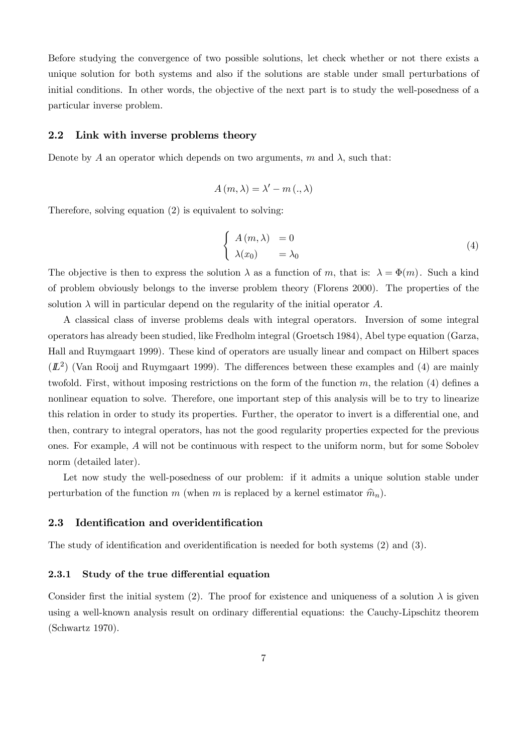Before studying the convergence of two possible solutions, let check whether or not there exists a unique solution for both systems and also if the solutions are stable under small perturbations of initial conditions. In other words, the objective of the next part is to study the well-posedness of a particular inverse problem.

#### 2.2 Link with inverse problems theory

Denote by A an operator which depends on two arguments, m and  $\lambda$ , such that:

$$
A(m,\lambda) = \lambda' - m\left(.,\lambda\right)
$$

Therefore, solving equation (2) is equivalent to solving:

$$
\begin{cases}\nA(m,\lambda) = 0 \\
\lambda(x_0) = \lambda_0\n\end{cases}
$$
\n(4)

The objective is then to express the solution  $\lambda$  as a function of m, that is:  $\lambda = \Phi(m)$ . Such a kind of problem obviously belongs to the inverse problem theory (Florens 2000). The properties of the solution  $\lambda$  will in particular depend on the regularity of the initial operator A.

A classical class of inverse problems deals with integral operators. Inversion of some integral operators has already been studied, like Fredholm integral (Groetsch 1984), Abel type equation (Garza, Hall and Ruymgaart 1999). These kind of operators are usually linear and compact on Hilbert spaces  $(L^2)$  (Van Rooij and Ruymgaart 1999). The differences between these examples and (4) are mainly twofold. First, without imposing restrictions on the form of the function  $m$ , the relation (4) defines a nonlinear equation to solve. Therefore, one important step of this analysis will be to try to linearize this relation in order to study its properties. Further, the operator to invert is a differential one, and then, contrary to integral operators, has not the good regularity properties expected for the previous ones. For example, A will not be continuous with respect to the uniform norm, but for some Sobolev norm (detailed later).

Let now study the well-posedness of our problem: if it admits a unique solution stable under perturbation of the function m (when m is replaced by a kernel estimator  $\hat{m}_n$ ).

## 2.3 Identification and overidentification

The study of identification and overidentification is needed for both systems (2) and (3).

#### 2.3.1 Study of the true differential equation

Consider first the initial system (2). The proof for existence and uniqueness of a solution  $\lambda$  is given using a well-known analysis result on ordinary differential equations: the Cauchy-Lipschitz theorem (Schwartz 1970).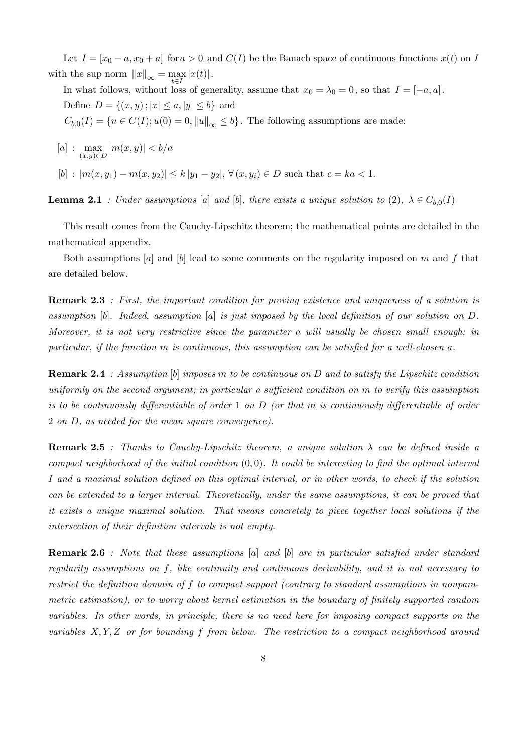Let  $I = [x_0 - a, x_0 + a]$  for  $a > 0$  and  $C(I)$  be the Banach space of continuous functions  $x(t)$  on I with the sup norm  $||x||_{\infty} = \max_{t \in I} |x(t)|$ .

In what follows, without loss of generality, assume that  $x_0 = \lambda_0 = 0$ , so that  $I = [-a, a]$ . Define  $D = \{(x, y) ; |x| \le a, |y| \le b\}$  and  $C_{b,0}(I) = \{u \in C(I); u(0) = 0, ||u||_{\infty} \le b\}.$  The following assumptions are made:

$$
[a] : \max_{(x,y)\in D} |m(x,y)| < b/a
$$
  

$$
[b] : |m(x,y_1) - m(x,y_2)| \le k |y_1 - y_2|, \forall (x,y_i) \in D \text{ such that } c = ka < 1.
$$

**Lemma 2.1** : Under assumptions [a] and [b], there exists a unique solution to (2),  $\lambda \in C_{b,0}(I)$ 

This result comes from the Cauchy-Lipschitz theorem; the mathematical points are detailed in the mathematical appendix.

Both assumptions  $[a]$  and  $[b]$  lead to some comments on the regularity imposed on m and f that are detailed below.

Remark 2.3 : First, the important condition for proving existence and uniqueness of a solution is assumption  $[b]$ . Indeed, assumption  $[a]$  is just imposed by the local definition of our solution on D. Moreover, it is not very restrictive since the parameter a will usually be chosen small enough; in particular, if the function m is continuous, this assumption can be satisfied for a well-chosen a.

**Remark 2.4** : Assumption [b] imposes m to be continuous on D and to satisfy the Lipschitz condition uniformly on the second argument; in particular a sufficient condition on m to verify this assumption is to be continuously differentiable of order 1 on  $D$  (or that m is continuously differentiable of order 2 on D, as needed for the mean square convergence).

**Remark 2.5** : Thanks to Cauchy-Lipschitz theorem, a unique solution  $\lambda$  can be defined inside a compact neighborhood of the initial condition  $(0, 0)$ . It could be interesting to find the optimal interval I and a maximal solution defined on this optimal interval, or in other words, to check if the solution can be extended to a larger interval. Theoretically, under the same assumptions, it can be proved that it exists a unique maximal solution. That means concretely to piece together local solutions if the intersection of their definition intervals is not empty.

Remark 2.6 : Note that these assumptions [a] and [b] are in particular satisfied under standard regularity assumptions on f, like continuity and continuous derivability, and it is not necessary to restrict the definition domain of f to compact support (contrary to standard assumptions in nonparametric estimation), or to worry about kernel estimation in the boundary of finitely supported random variables. In other words, in principle, there is no need here for imposing compact supports on the variables  $X, Y, Z$  or for bounding f from below. The restriction to a compact neighborhood around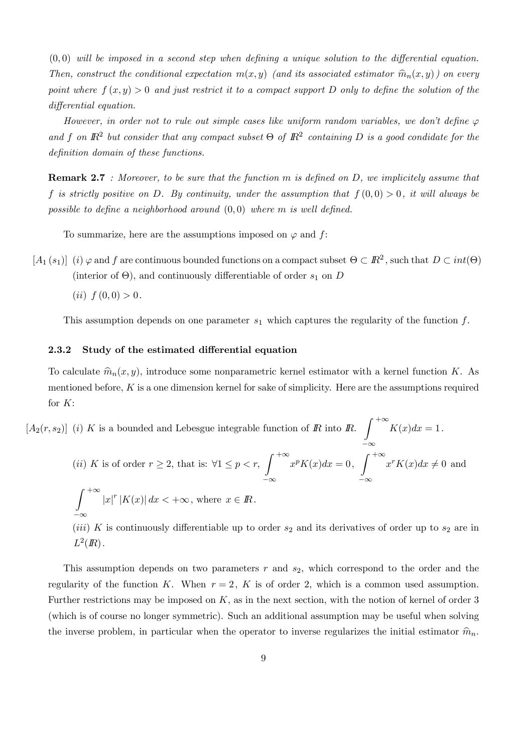$(0,0)$  will be imposed in a second step when defining a unique solution to the differential equation. Then, construct the conditional expectation  $m(x, y)$  (and its associated estimator  $\hat{m}_n(x, y)$ ) on every point where  $f(x, y) > 0$  and just restrict it to a compact support D only to define the solution of the differential equation.

However, in order not to rule out simple cases like uniform random variables, we don't define  $\varphi$ and f on  $\mathbb{R}^2$  but consider that any compact subset  $\Theta$  of  $\mathbb{R}^2$  containing D is a good condidate for the definition domain of these functions.

**Remark 2.7** : Moreover, to be sure that the function m is defined on D, we implicitely assume that f is strictly positive on D. By continuity, under the assumption that  $f(0,0) > 0$ , it will always be possible to define a neighborhood around  $(0,0)$  where m is well defined.

To summarize, here are the assumptions imposed on  $\varphi$  and f:

 $[A_1(s_1)]$  (i)  $\varphi$  and f are continuous bounded functions on a compact subset  $\Theta \subset \mathbb{R}^2$ , such that  $D \subset int(\Theta)$ (interior of  $\Theta$ ), and continuously differentiable of order  $s_1$  on D

(*ii*)  $f(0,0) > 0$ .

This assumption depends on one parameter  $s_1$  which captures the regularity of the function  $f$ .

#### 2.3.2 Study of the estimated differential equation

To calculate  $\hat{m}_n(x, y)$ , introduce some nonparametric kernel estimator with a kernel function K. As mentioned before, K is a one dimension kernel for sake of simplicity. Here are the assumptions required for  $K$ :

 $[A_2(r, s_2)]$  (i) K is a bounded and Lebesgue integrable function of R into R.  $\int^{+\infty}$ −∞  $K(x)dx=1$ . (*ii*) K is of order  $r \ge 2$ , that is:  $\forall 1 \le p < r$ , −∞ + $\infty$ <br> $x^p K(x) dx = 0,$ −∞  $+\infty$ <br> $x^r K(x) dx \neq 0$  and  $\int^{+\infty}$ −∞  $|x|^{r}$  |K(x)|  $dx < +\infty$ , where  $x \in \mathbb{R}$ . (*iii*) K is continuously differentiable up to order  $s_2$  and its derivatives of order up to  $s_2$  are in  $L^2(\mathbb{R})$ .

This assumption depends on two parameters  $r$  and  $s_2$ , which correspond to the order and the regularity of the function K. When  $r = 2$ , K is of order 2, which is a common used assumption. Further restrictions may be imposed on  $K$ , as in the next section, with the notion of kernel of order 3 (which is of course no longer symmetric). Such an additional assumption may be useful when solving the inverse problem, in particular when the operator to inverse regularizes the initial estimator  $\hat{m}_n$ .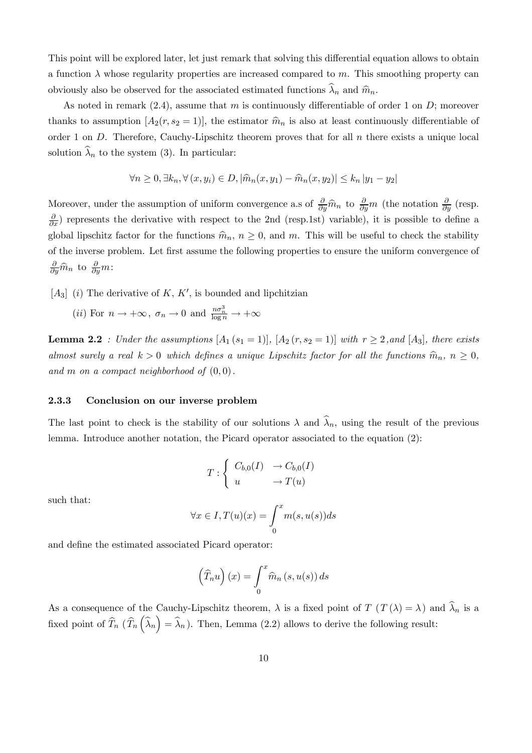This point will be explored later, let just remark that solving this differential equation allows to obtain a function  $\lambda$  whose regularity properties are increased compared to m. This smoothing property can obviously also be observed for the associated estimated functions  $\widehat{\lambda}_n$  and  $\widehat{m}_n$ .

As noted in remark  $(2.4)$ , assume that m is continuously differentiable of order 1 on D; moreover thanks to assumption  $[A_2(r, s_2 = 1)]$ , the estimator  $\hat{m}_n$  is also at least continuously differentiable of order 1 on  $D$ . Therefore, Cauchy-Lipschitz theorem proves that for all  $n$  there exists a unique local solution  $\widehat{\lambda}_n$  to the system (3). In particular:

$$
\forall n \ge 0, \exists k_n, \forall (x, y_i) \in D, |\widehat{m}_n(x, y_1) - \widehat{m}_n(x, y_2)| \le k_n |y_1 - y_2|
$$

Moreover, under the assumption of uniform convergence a.s of  $\frac{\partial}{\partial y}\hat{m}_n$  to  $\frac{\partial}{\partial y}m$  (the notation  $\frac{\partial}{\partial y}$  (resp.  $\frac{\partial}{\partial x}$ ) represents the derivative with respect to the 2nd (resp.1st) variable), it is possible to define a global lipschitz factor for the functions  $\hat{m}_n$ ,  $n \geq 0$ , and m. This will be useful to check the stability of the inverse problem. Let first assume the following properties to ensure the uniform convergence of  $\frac{\partial}{\partial y}\widehat{m}_n$  to  $\frac{\partial}{\partial y}m$ :

 $[A_3]$  (i) The derivative of K, K', is bounded and lipchitzian

(*ii*) For  $n \to +\infty$ ,  $\sigma_n \to 0$  and  $\frac{n\sigma_n^3}{\log n} \to +\infty$ 

**Lemma 2.2** : Under the assumptions  $[A_1(s_1 = 1)], [A_2(r, s_2 = 1)]$  with  $r \geq 2$ , and  $[A_3]$ , there exists almost surely a real  $k > 0$  which defines a unique Lipschitz factor for all the functions  $\hat{m}_n$ ,  $n \ge 0$ , and m on a compact neighborhood of  $(0, 0)$ .

#### 2.3.3 Conclusion on our inverse problem

The last point to check is the stability of our solutions  $\lambda$  and  $\lambda_n$ , using the result of the previous lemma. Introduce another notation, the Picard operator associated to the equation (2):

$$
T: \begin{cases} C_{b,0}(I) & \to C_{b,0}(I) \\ u & \to T(u) \end{cases}
$$

such that:

$$
\forall x \in I, T(u)(x) = \int_0^x m(s, u(s))ds
$$

and define the estimated associated Picard operator:

$$
\left(\widehat{T}_n u\right)(x) = \int_0^x \widehat{m}_n(s, u(s)) ds
$$

As a consequence of the Cauchy-Lipschitz theorem,  $\lambda$  is a fixed point of  $T(T(\lambda) = \lambda)$  and  $\widehat{\lambda}_n$  is a fixed point of  $\widehat{T}_n(\widehat{T}_n(\widehat{\lambda}_n) = \widehat{\lambda}_n)$ . Then, Lemma (2.2) allows to derive the following result: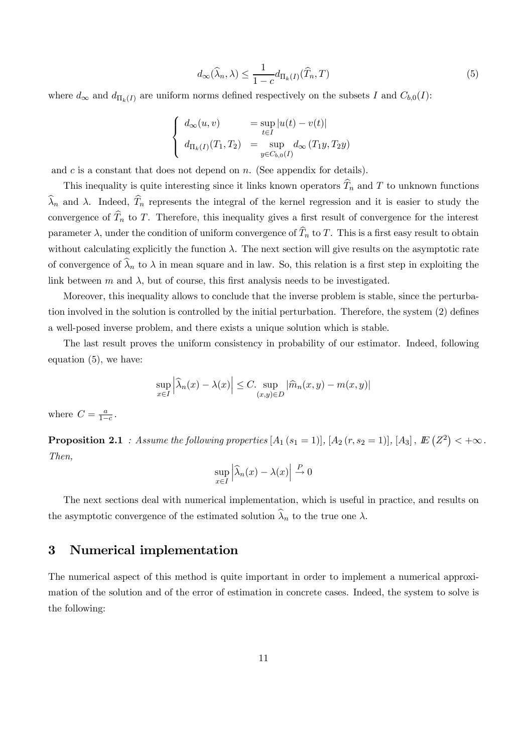$$
d_{\infty}(\widehat{\lambda}_n, \lambda) \le \frac{1}{1 - c} d_{\Pi_k(I)}(\widehat{T}_n, T) \tag{5}
$$

where  $d_{\infty}$  and  $d_{\Pi_k(I)}$  are uniform norms defined respectively on the subsets I and  $C_{b,0}(I)$ :

$$
\begin{cases}\n d_{\infty}(u, v) &= \sup_{t \in I} |u(t) - v(t)| \\
 d_{\Pi_k(I)}(T_1, T_2) &= \sup_{y \in C_{b,0}(I)} d_{\infty}(T_1 y, T_2 y)\n\end{cases}
$$

and  $c$  is a constant that does not depend on  $n$ . (See appendix for details).

This inequality is quite interesting since it links known operators  $\widehat{T}_n$  and T to unknown functions  $\widehat{\lambda}_n$  and  $\lambda$ . Indeed,  $\widehat{T}_n$  represents the integral of the kernel regression and it is easier to study the convergence of  $\widehat{T}_n$  to T. Therefore, this inequality gives a first result of convergence for the interest parameter  $\lambda$ , under the condition of uniform convergence of  $\widehat{T}_n$  to T. This is a first easy result to obtain without calculating explicitly the function  $\lambda$ . The next section will give results on the asymptotic rate of convergence of  $\widehat{\lambda}_n$  to  $\lambda$  in mean square and in law. So, this relation is a first step in exploiting the link between m and  $\lambda$ , but of course, this first analysis needs to be investigated.

Moreover, this inequality allows to conclude that the inverse problem is stable, since the perturbation involved in the solution is controlled by the initial perturbation. Therefore, the system (2) defines a well-posed inverse problem, and there exists a unique solution which is stable.

The last result proves the uniform consistency in probability of our estimator. Indeed, following equation (5), we have:

$$
\sup_{x \in I} \left| \widehat{\lambda}_n(x) - \lambda(x) \right| \le C. \sup_{(x,y) \in D} |\widehat{m}_n(x,y) - m(x,y)|
$$

where  $C = \frac{a}{1-c}$ .

**Proposition 2.1** : Assume the following properties  $[A_1 (s_1 = 1)], [A_2 (r, s_2 = 1)], [A_3], \,I\!\!E \left(Z^2\right) < +\infty$ . Then,

$$
\sup_{x \in I} \left| \widehat{\lambda}_n(x) - \lambda(x) \right| \stackrel{P}{\to} 0
$$

The next sections deal with numerical implementation, which is useful in practice, and results on the asymptotic convergence of the estimated solution  $\widehat{\lambda}_n$  to the true one  $\lambda$ .

## 3 Numerical implementation

The numerical aspect of this method is quite important in order to implement a numerical approximation of the solution and of the error of estimation in concrete cases. Indeed, the system to solve is the following: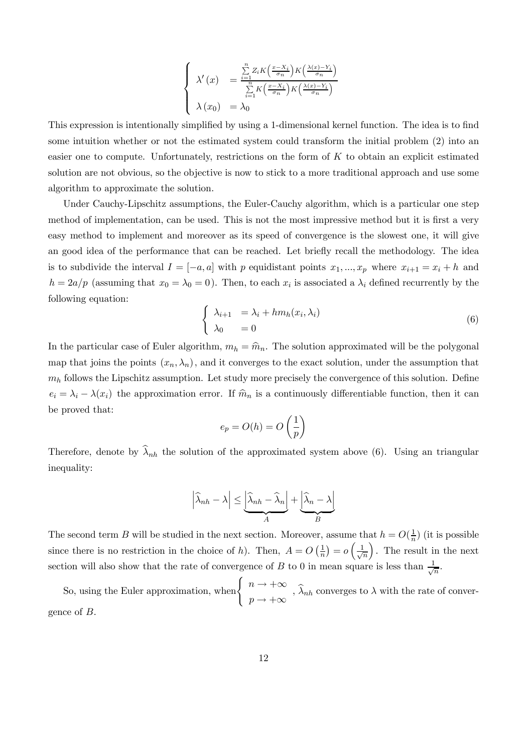$$
\begin{cases} \lambda'(x) = \frac{\sum\limits_{i=1}^{n} Z_i K\left(\frac{x-X_i}{\sigma_n}\right) K\left(\frac{\lambda(x)-Y_i}{\sigma_n}\right)}{\sum\limits_{i=1}^{n} K\left(\frac{x-X_i}{\sigma_n}\right) K\left(\frac{\lambda(x)-Y_i}{\sigma_n}\right)} \\ \lambda(x_0) = \lambda_0 \end{cases}
$$

This expression is intentionally simplified by using a 1-dimensional kernel function. The idea is to find some intuition whether or not the estimated system could transform the initial problem (2) into an easier one to compute. Unfortunately, restrictions on the form of  $K$  to obtain an explicit estimated solution are not obvious, so the objective is now to stick to a more traditional approach and use some algorithm to approximate the solution.

Under Cauchy-Lipschitz assumptions, the Euler-Cauchy algorithm, which is a particular one step method of implementation, can be used. This is not the most impressive method but it is first a very easy method to implement and moreover as its speed of convergence is the slowest one, it will give an good idea of the performance that can be reached. Let briefly recall the methodology. The idea is to subdivide the interval  $I = [-a, a]$  with p equidistant points  $x_1, ..., x_p$  where  $x_{i+1} = x_i + h$  and  $h = 2a/p$  (assuming that  $x_0 = \lambda_0 = 0$ ). Then, to each  $x_i$  is associated a  $\lambda_i$  defined recurrently by the following equation:

$$
\begin{cases}\n\lambda_{i+1} = \lambda_i + h m_h(x_i, \lambda_i) \\
\lambda_0 = 0\n\end{cases}
$$
\n(6)

In the particular case of Euler algorithm,  $m_h = \hat{m}_n$ . The solution approximated will be the polygonal map that joins the points  $(x_n, \lambda_n)$ , and it converges to the exact solution, under the assumption that  $m_h$  follows the Lipschitz assumption. Let study more precisely the convergence of this solution. Define  $e_i = \lambda_i - \lambda(x_i)$  the approximation error. If  $\hat{m}_n$  is a continuously differentiable function, then it can be proved that:

$$
e_p = O(h) = O\left(\frac{1}{p}\right)
$$

Therefore, denote by  $\hat{\lambda}_{nh}$  the solution of the approximated system above (6). Using an triangular inequality:

$$
\left| \widehat{\lambda}_{nh} - \lambda \right| \leq \underbrace{\left| \widehat{\lambda}_{nh} - \widehat{\lambda}_{n} \right|}_{A} + \underbrace{\left| \widehat{\lambda}_{n} - \lambda \right|}_{B}
$$

The second term B will be studied in the next section. Moreover, assume that  $h = O(\frac{1}{n})$  (it is possible since there is no restriction in the choice of h). Then,  $A = O\left(\frac{1}{n}\right) = o\left(\frac{1}{\sqrt{n}}\right)$  $\overline{n}$ ). The result in the next section will also show that the rate of convergence of B to 0 in mean square is less than  $\frac{1}{\sqrt{n}}$ .

So, using the Euler approximation, when  $\begin{cases} n \to +\infty \end{cases}$  $p \rightarrow +\infty$ ,  $\lambda_{nh}$  converges to  $\lambda$  with the rate of convergence of B.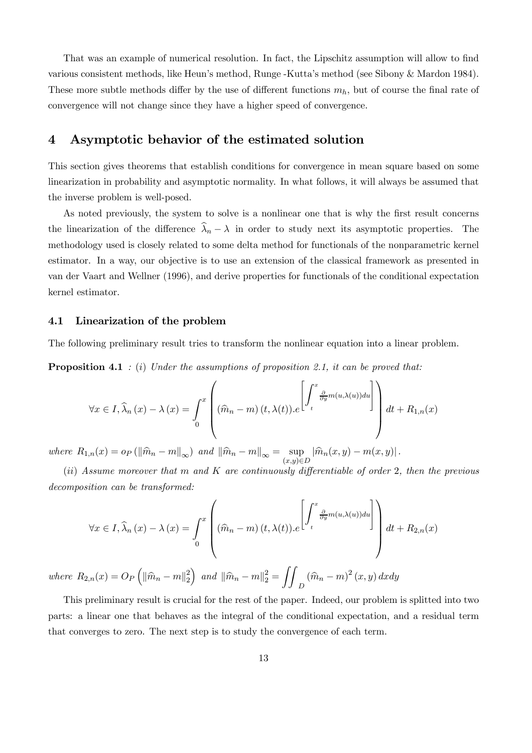That was an example of numerical resolution. In fact, the Lipschitz assumption will allow to find various consistent methods, like Heun's method, Runge -Kutta's method (see Sibony & Mardon 1984). These more subtle methods differ by the use of different functions  $m_h$ , but of course the final rate of convergence will not change since they have a higher speed of convergence.

## 4 Asymptotic behavior of the estimated solution

This section gives theorems that establish conditions for convergence in mean square based on some linearization in probability and asymptotic normality. In what follows, it will always be assumed that the inverse problem is well-posed.

As noted previously, the system to solve is a nonlinear one that is why the first result concerns the linearization of the difference  $\hat{\lambda}_n - \lambda$  in order to study next its asymptotic properties. The methodology used is closely related to some delta method for functionals of the nonparametric kernel estimator. In a way, our objective is to use an extension of the classical framework as presented in van der Vaart and Wellner (1996), and derive properties for functionals of the conditional expectation kernel estimator.

#### 4.1 Linearization of the problem

The following preliminary result tries to transform the nonlinear equation into a linear problem.

**Proposition 4.1** : (i) Under the assumptions of proposition 2.1, it can be proved that:

$$
\forall x \in I, \widehat{\lambda}_n(x) - \lambda(x) = \int_0^x \left( (\widehat{m}_n - m)(t, \lambda(t)) \cdot e^{\left[ \int_t^x \frac{\partial}{\partial y} m(u, \lambda(u)) du \right]} \right) dt + R_{1,n}(x)
$$

where  $R_{1,n}(x) = o_P (\|\widehat{m}_n - m\|_{\infty})$  and  $\|\widehat{m}_n - m\|_{\infty} = \sup_{(x,y)\in D} |\widehat{m}_n(x,y) - m(x,y)|$ .

(ii) Assume moreover that m and  $K$  are continuously differentiable of order 2, then the previous decomposition can be transformed:

$$
\forall x \in I, \widehat{\lambda}_n(x) - \lambda(x) = \int_0^x \left( (\widehat{m}_n - m)(t, \lambda(t)).e^{\left[ \int_t^x \frac{\partial}{\partial y} m(u, \lambda(u)) du \right]} \right) dt + R_{2,n}(x)
$$

where  $R_{2,n}(x) = O_P \left( \|\hat{m}_n - m\|_2^2 \right)$  $\Big)$  and  $\|\widehat{m}_{n} - m\|_2^2 =$  $\int$  $\left(\widehat{m}_n - m\right)^2(x, y) dx dy$ 

This preliminary result is crucial for the rest of the paper. Indeed, our problem is splitted into two parts: a linear one that behaves as the integral of the conditional expectation, and a residual term that converges to zero. The next step is to study the convergence of each term.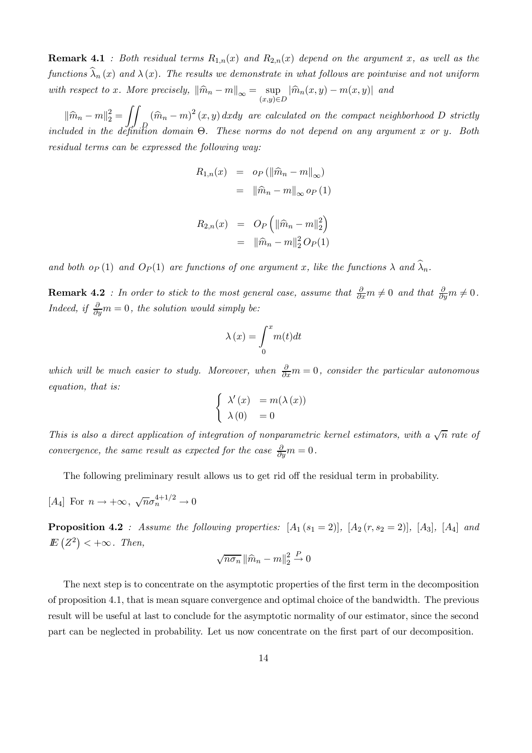**Remark 4.1** : Both residual terms  $R_{1,n}(x)$  and  $R_{2,n}(x)$  depend on the argument x, as well as the functions  $\widehat{\lambda}_n(x)$  and  $\lambda(x)$ . The results we demonstrate in what follows are pointwise and not uniform with respect to x. More precisely,  $\|\widehat{m}_n - m\|_{\infty} = \sup_{(x,y)\in D} |\widehat{m}_n(x,y) - m(x,y)|$  and

 $\|\widehat{m}_n - m\|_2^2 =$  $\int$  $(\hat{m}_n - m)^2(x, y) dx dy$  are calculated on the compact neighborhood D strictly<br>P. included in the definition domain  $\Theta$ . These norms do not depend on any argument x or y. Both residual terms can be expressed the following way:

$$
R_{1,n}(x) = o_P(||\widehat{m}_n - m||_{\infty})
$$
  
=  $||\widehat{m}_n - m||_{\infty} o_P(1)$ 

$$
R_{2,n}(x) = O_P\left(\|\widehat{m}_n - m\|_2^2\right)
$$
  
=  $\|\widehat{m}_n - m\|_2^2 O_P(1)$ 

and both op (1) and  $O_P(1)$  are functions of one argument x, like the functions  $\lambda$  and  $\lambda_n$ .

**Remark 4.2** : In order to stick to the most general case, assume that  $\frac{\partial}{\partial x}m \neq 0$  and that  $\frac{\partial}{\partial y}m \neq 0$ . Indeed, if  $\frac{\partial}{\partial y}m=0$ , the solution would simply be:

$$
\lambda(x) = \int_0^x m(t)dt
$$

which will be much easier to study. Moreover, when  $\frac{\partial}{\partial x}m = 0$ , consider the particular autonomous equation, that is:

$$
\begin{cases}\n\lambda'(x) &= m(\lambda(x)) \\
\lambda(0) &= 0\n\end{cases}
$$

This is also a direct application of integration of nonparametric kernel estimators, with a  $\sqrt{n}$  rate of convergence, the same result as expected for the case  $\frac{\partial}{\partial y}m = 0$ .

The following preliminary result allows us to get rid off the residual term in probability.

[A<sub>4</sub>] For  $n \to +\infty$ ,  $\sqrt{n} \sigma_n^{4+1/2} \to 0$ 

**Proposition 4.2** : Assume the following properties:  $[A_1(s_1 = 2)], [A_2(r, s_2 = 2)], [A_3], [A_4]$  and  $E(Z^2) < +\infty$ . Then,

$$
\sqrt{n\sigma_n}\left\|\widehat{m}_n - m\right\|_2^2 \stackrel{P}{\to} 0
$$

The next step is to concentrate on the asymptotic properties of the first term in the decomposition of proposition 4.1, that is mean square convergence and optimal choice of the bandwidth. The previous result will be useful at last to conclude for the asymptotic normality of our estimator, since the second part can be neglected in probability. Let us now concentrate on the first part of our decomposition.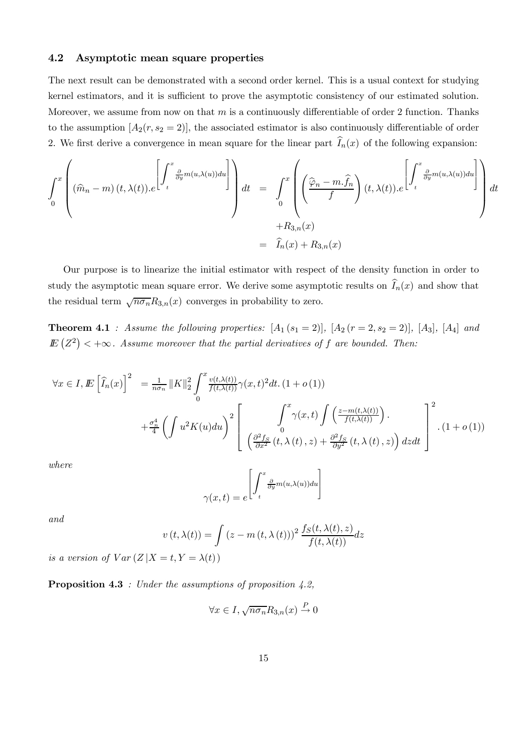#### 4.2 Asymptotic mean square properties

The next result can be demonstrated with a second order kernel. This is a usual context for studying kernel estimators, and it is sufficient to prove the asymptotic consistency of our estimated solution. Moreover, we assume from now on that  $m$  is a continuously differentiable of order 2 function. Thanks to the assumption  $[A_2(r, s_2 = 2)]$ , the associated estimator is also continuously differentiable of order 2. We first derive a convergence in mean square for the linear part  $I_n(x)$  of the following expansion:

$$
\int_{0}^{x} \left( (\hat{m}_{n} - m) (t, \lambda(t)) \cdot e^{\left[ \int_{t}^{x} \frac{\partial}{\partial y} m(u, \lambda(u)) du \right]} \right) dt = \int_{0}^{x} \left( \left( \frac{\hat{\varphi}_{n} - m \cdot \hat{f}_{n}}{f} \right) (t, \lambda(t)) \cdot e^{\left[ \int_{t}^{x} \frac{\partial}{\partial y} m(u, \lambda(u)) du \right]} \right) dt + R_{3,n}(x)
$$
  
=  $\hat{I}_{n}(x) + R_{3,n}(x)$ 

Our purpose is to linearize the initial estimator with respect of the density function in order to study the asymptotic mean square error. We derive some asymptotic results on  $I_n(x)$  and show that the residual term  $\sqrt{n\sigma_n}R_{3,n}(x)$  converges in probability to zero.

**Theorem 4.1** : Assume the following properties:  $[A_1 (s_1 = 2)], [A_2 (r = 2, s_2 = 2)], [A_3], [A_4]$  and  $I\!\!E\left(Z^2\right)$  <  $+\infty$ . Assume moreover that the partial derivatives of f are bounded. Then:

$$
\forall x \in I, \mathbf{E} \left[ \widehat{I}_n(x) \right]^2 = \frac{1}{n\sigma_n} \|K\|_2^2 \int_0^x \frac{v(t,\lambda(t))}{f(t,\lambda(t))} \gamma(x,t)^2 dt. \ (1+o(1))
$$
  
+ 
$$
\frac{\sigma_n^4}{4} \left( \int u^2 K(u) du \right)^2 \left[ \int_0^x \frac{\int_0^x \gamma(x,t) \int \left( \frac{z - m(t,\lambda(t))}{f(t,\lambda(t))} \right) \gamma(x,t) \, d\lambda(t) \right]_0^x}{\left( \frac{\partial^2 f_S}{\partial x^2} (t,\lambda(t),z) + \frac{\partial^2 f_S}{\partial y^2} (t,\lambda(t),z) \right) dz dt} \right] \tag{1+o(1)}
$$

where

$$
\gamma(x,t) = e^{\left[\int_t^x \frac{\partial}{\partial y} m(u,\lambda(u)) du\right]}
$$

and

$$
v(t, \lambda(t)) = \int (z - m(t, \lambda(t)))^2 \frac{f_S(t, \lambda(t), z)}{f(t, \lambda(t))} dz
$$

is a version of  $Var(Z|X=t, Y = \lambda(t))$ 

**Proposition 4.3** : Under the assumptions of proposition  $4.2$ ,

$$
\forall x \in I, \sqrt{n\sigma_n} R_{3,n}(x) \stackrel{P}{\to} 0
$$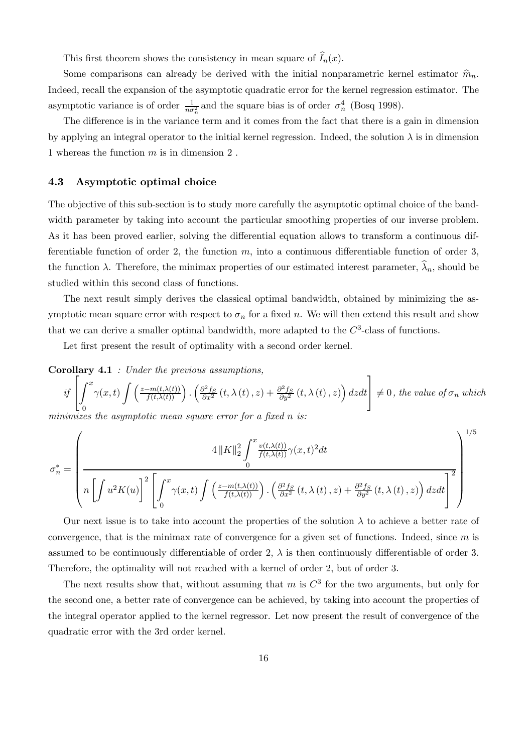This first theorem shows the consistency in mean square of  $I_n(x)$ .

Some comparisons can already be derived with the initial nonparametric kernel estimator  $\hat{m}_n$ . Indeed, recall the expansion of the asymptotic quadratic error for the kernel regression estimator. The asymptotic variance is of order  $\frac{1}{n\sigma_n^2}$  and the square bias is of order  $\sigma_n^4$  (Bosq 1998).

The difference is in the variance term and it comes from the fact that there is a gain in dimension by applying an integral operator to the initial kernel regression. Indeed, the solution  $\lambda$  is in dimension 1 whereas the function m is in dimension 2 .

#### 4.3 Asymptotic optimal choice

The objective of this sub-section is to study more carefully the asymptotic optimal choice of the bandwidth parameter by taking into account the particular smoothing properties of our inverse problem. As it has been proved earlier, solving the differential equation allows to transform a continuous differentiable function of order 2, the function  $m$ , into a continuous differentiable function of order 3, the function  $\lambda$ . Therefore, the minimax properties of our estimated interest parameter,  $\hat{\lambda}_n$ , should be studied within this second class of functions.

The next result simply derives the classical optimal bandwidth, obtained by minimizing the asymptotic mean square error with respect to  $\sigma_n$  for a fixed n. We will then extend this result and show that we can derive a smaller optimal bandwidth, more adapted to the  $C^3$ -class of functions.

Let first present the result of optimality with a second order kernel.

Corollary 4.1 : Under the previous assumptions,

if  $\sqrt{ }$  $\overline{1}$  $\boldsymbol{0}$ x  $\gamma(x,t)\int \left(\frac{z-m(t,\lambda(t))}{f(t,\lambda(t))}\right) \cdot \left(\frac{\partial^2 f_S}{\partial x^2}(t,\lambda(t),z)+\frac{\partial^2 f_S}{\partial y^2}(t,\lambda(t),z)\right)dzdt$ 1  $\vert \neq 0$ , the value of  $\sigma_n$  which

1/5

minimizes the asymptotic mean square error for a fixed n is:

$$
\sigma_n^* = \left(\frac{4\|K\|_2^2 \int_0^x \frac{v(t,\lambda(t))}{f(t,\lambda(t))} \gamma(x,t)^2 dt}{\ln\left[\int u^2 K(u)\right]^2 \left[\int_0^x \gamma(x,t) \int \left(\frac{z-m(t,\lambda(t))}{f(t,\lambda(t))}\right) \cdot \left(\frac{\partial^2 f_S}{\partial x^2}(t,\lambda(t),z) + \frac{\partial^2 f_S}{\partial y^2}(t,\lambda(t),z)\right) dz dt\right]^2}\right)^{1/5}
$$

Our next issue is to take into account the properties of the solution  $\lambda$  to achieve a better rate of convergence, that is the minimax rate of convergence for a given set of functions. Indeed, since  $m$  is assumed to be continuously differentiable of order 2,  $\lambda$  is then continuously differentiable of order 3. Therefore, the optimality will not reached with a kernel of order 2, but of order 3.

The next results show that, without assuming that m is  $C<sup>3</sup>$  for the two arguments, but only for the second one, a better rate of convergence can be achieved, by taking into account the properties of the integral operator applied to the kernel regressor. Let now present the result of convergence of the quadratic error with the 3rd order kernel.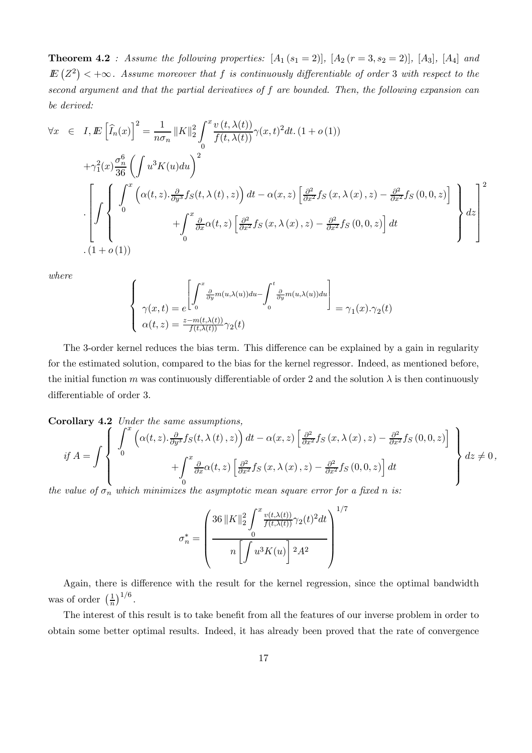**Theorem 4.2** : Assume the following properties:  $[A_1 (s_1 = 2)], [A_2 (r = 3, s_2 = 2)], [A_3], [A_4]$  and  $I\!\!E\left(Z^2\right)<+\infty$ . Assume moreover that f is continuously differentiable of order 3 with respect to the second argument and that the partial derivatives of f are bounded. Then, the following expansion can be derived:

$$
\forall x \in I, \mathbb{E}\left[\widehat{I}_n(x)\right]^2 = \frac{1}{n\sigma_n} \|K\|_2^2 \int_0^x \frac{v(t, \lambda(t))}{f(t, \lambda(t))} \gamma(x, t)^2 dt. (1 + o(1))
$$
  
+ $\gamma_1^2(x) \frac{\sigma_n^6}{36} \left(\int u^3 K(u) du\right)^2$   

$$
\left[\int_0^x \left(\alpha(t, z) \cdot \frac{\partial}{\partial y^3} f_S(t, \lambda(t), z)\right) dt - \alpha(x, z) \left[\frac{\partial^2}{\partial x^2} f_S(x, \lambda(x), z) - \frac{\partial^2}{\partial x^2} f_S(0, 0, z)\right] \right]_0^x
$$
  
+
$$
\int_0^x \frac{\partial}{\partial x} \alpha(t, z) \left[\frac{\partial^2}{\partial x^2} f_S(x, \lambda(x), z) - \frac{\partial^2}{\partial x^2} f_S(0, 0, z)\right] dt
$$
  
.(1 + o(1))

where

$$
\begin{cases}\n\gamma(x,t) = e^{\left[\int_0^x \frac{\partial}{\partial y} m(u,\lambda(u)) du - \int_0^t \frac{\partial}{\partial y} m(u,\lambda(u)) du\right]} \\
\gamma(x,t) = \frac{z - m(t,\lambda(t))}{f(t,\lambda(t))} \gamma_2(t)\n\end{cases} = \gamma_1(x) \cdot \gamma_2(t)
$$

The 3-order kernel reduces the bias term. This difference can be explained by a gain in regularity for the estimated solution, compared to the bias for the kernel regressor. Indeed, as mentioned before, the initial function m was continuously differentiable of order 2 and the solution  $\lambda$  is then continuously differentiable of order 3.

Corollary 4.2 Under the same assumptions,  
\nif 
$$
A = \int \begin{cases} \int_{0}^{x} \left( \alpha(t, z) \cdot \frac{\partial}{\partial y^{3}} f_{S}(t, \lambda(t), z) \right) dt - \alpha(x, z) \left[ \frac{\partial^{2}}{\partial x^{2}} f_{S}(x, \lambda(x), z) - \frac{\partial^{2}}{\partial x^{2}} f_{S}(0, 0, z) \right] \\ + \int_{0}^{x} \frac{\partial}{\partial x} \alpha(t, z) \left[ \frac{\partial^{2}}{\partial x^{2}} f_{S}(x, \lambda(x), z) - \frac{\partial^{2}}{\partial x^{2}} f_{S}(0, 0, z) \right] dt \\ \vdots \end{cases} dz \neq 0,
$$

the value of  $\sigma_n$  which minimizes the asymptotic mean square error for a fixed n is:

$$
\sigma_n^* = \left(\frac{36 \|K\|_2^2 \int_0^x \frac{v(t,\lambda(t))}{f(t,\lambda(t))} \gamma_2(t)^2 dt}{n \left[ \int u^3 K(u) \right]^2 A^2}\right)^{1/7}
$$

Again, there is difference with the result for the kernel regression, since the optimal bandwidth was of order  $\left(\frac{1}{n}\right)^{1/6}$ .

The interest of this result is to take benefit from all the features of our inverse problem in order to obtain some better optimal results. Indeed, it has already been proved that the rate of convergence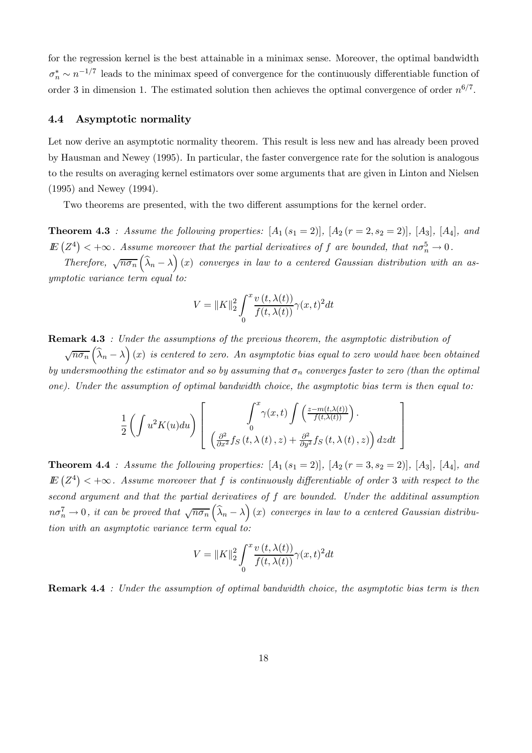for the regression kernel is the best attainable in a minimax sense. Moreover, the optimal bandwidth  $\sigma_n^* \sim n^{-1/7}$  leads to the minimax speed of convergence for the continuously differentiable function of order 3 in dimension 1. The estimated solution then achieves the optimal convergence of order  $n^{6/7}$ .

#### 4.4 Asymptotic normality

Let now derive an asymptotic normality theorem. This result is less new and has already been proved by Hausman and Newey (1995). In particular, the faster convergence rate for the solution is analogous to the results on averaging kernel estimators over some arguments that are given in Linton and Nielsen (1995) and Newey (1994).

Two theorems are presented, with the two different assumptions for the kernel order.

**Theorem 4.3** : Assume the following properties:  $[A_1 (s_1 = 2)], [A_2 (r = 2, s_2 = 2)], [A_3], [A_4],$  and  $E(Z^4)$  < + $\infty$ . Assume moreover that the partial derivatives of f are bounded, that  $n\sigma_n^5 \to 0$ .

Therefore,  $\sqrt{n\sigma_n}$   $(\widehat{\lambda}_n - \lambda)$  (x) converges in law to a centered Gaussian distribution with an asymptotic variance term equal to:

$$
V = ||K||_2^2 \int_0^x \frac{v(t, \lambda(t))}{f(t, \lambda(t))} \gamma(x, t)^2 dt
$$

Remark 4.3 : Under the assumptions of the previous theorem, the asymptotic distribution of

 $\sqrt{n\sigma_n}$   $(\widehat{\lambda}_n - \lambda)$  (x) is centered to zero. An asymptotic bias equal to zero would have been obtained by undersmoothing the estimator and so by assuming that  $\sigma_n$  converges faster to zero (than the optimal one). Under the assumption of optimal bandwidth choice, the asymptotic bias term is then equal to:

$$
\frac{1}{2} \left( \int u^2 K(u) du \right) \left[ \int_0^x \gamma(x, t) \int \left( \frac{z - m(t, \lambda(t))}{f(t, \lambda(t))} \right) dx dt \right]
$$

$$
\left( \frac{\partial^2}{\partial x^2} f_S(t, \lambda(t), z) + \frac{\partial^2}{\partial y^2} f_S(t, \lambda(t), z) \right) dz dt \right]
$$

**Theorem 4.4** : Assume the following properties:  $[A_1 (s_1 = 2)], [A_2 (r = 3, s_2 = 2)], [A_3], [A_4],$  and  $I\!\!E\left(Z^4\right)<+\infty$ . Assume moreover that f is continuously differentiable of order 3 with respect to the second argument and that the partial derivatives of f are bounded. Under the additinal assumption  $n\sigma_n^7 \to 0$ , it can be proved that  $\sqrt{n\sigma_n}(\widehat{\lambda}_n - \lambda)(x)$  converges in law to a centered Gaussian distribution with an asymptotic variance term equal to:

$$
V = \|K\|_2^2 \int_0^x \frac{v(t, \lambda(t))}{f(t, \lambda(t))} \gamma(x, t)^2 dt
$$

Remark 4.4 : Under the assumption of optimal bandwidth choice, the asymptotic bias term is then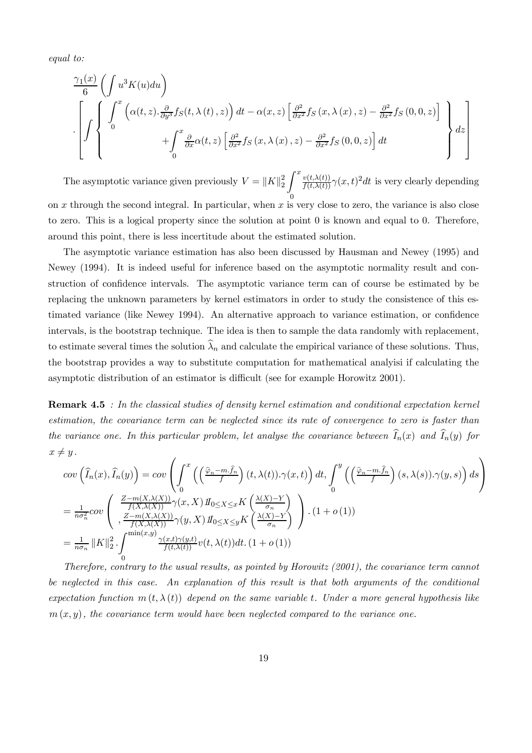equal to:

$$
\left\{\int \left\{\int_{0}^{x} \left(\alpha(t,z).\frac{\partial}{\partial y^3} f_S(t,\lambda(t),z)\right) dt - \alpha(x,z) \left[\frac{\partial^2}{\partial x^2} f_S(x,\lambda(x),z) - \frac{\partial^2}{\partial x^2} f_S(0,0,z)\right] \atop + \int_{0}^{x} \frac{\partial}{\partial x} \alpha(t,z) \left[\frac{\partial^2}{\partial x^2} f_S(x,\lambda(x),z) - \frac{\partial^2}{\partial x^2} f_S(0,0,z)\right] dt \right\} dz\right\}
$$

The asymptotic variance given previously  $V = ||K||_2^2$ Z 0  $\frac{f(x,\lambda(t))}{f(t,\lambda(t))}\gamma(x,t)^2dt$  is very clearly depending on  $x$  through the second integral. In particular, when  $x$  is very close to zero, the variance is also close to zero. This is a logical property since the solution at point 0 is known and equal to 0. Therefore, around this point, there is less incertitude about the estimated solution.

The asymptotic variance estimation has also been discussed by Hausman and Newey (1995) and Newey (1994). It is indeed useful for inference based on the asymptotic normality result and construction of confidence intervals. The asymptotic variance term can of course be estimated by be replacing the unknown parameters by kernel estimators in order to study the consistence of this estimated variance (like Newey 1994). An alternative approach to variance estimation, or confidence intervals, is the bootstrap technique. The idea is then to sample the data randomly with replacement, to estimate several times the solution  $\widehat{\lambda}_n$  and calculate the empirical variance of these solutions. Thus, the bootstrap provides a way to substitute computation for mathematical analyisi if calculating the asymptotic distribution of an estimator is difficult (see for example Horowitz 2001).

Remark 4.5 : In the classical studies of density kernel estimation and conditional expectation kernel estimation, the covariance term can be neglected since its rate of convergence to zero is faster than the variance one. In this particular problem, let analyse the covariance between  $I_n(x)$  and  $I_n(y)$  for  $x \neq y$ .

$$
\begin{split}\n&\text{cov}\left(\widehat{I}_{n}(x),\widehat{I}_{n}(y)\right) = \text{cov}\left(\int_{0}^{x}\left(\left(\frac{\widehat{\varphi}_{n}-m.\widehat{f}_{n}}{f}\right)(t,\lambda(t)).\gamma(x,t)\right)dt, \int_{0}^{y}\left(\left(\frac{\widehat{\varphi}_{n}-m.\widehat{f}_{n}}{f}\right)(s,\lambda(s)).\gamma(y,s)\right)ds\right) \\
&= \frac{1}{n\sigma_{n}^{2}}\text{cov}\left(\int_{0}^{\frac{Z-m(X,\lambda(X))}{f(X,\lambda(X))}\gamma(x,X)\,H_{0\leq X\leq x}K\left(\frac{\lambda(X)-Y}{\sigma_{n}}\right)}_{\frac{Z-m(X,\lambda(X))}{f(X,\lambda(X))}\gamma(y,X)\,H_{0\leq X\leq y}K\left(\frac{\lambda(X)-Y}{\sigma_{n}}\right)\right) \cdot (1+o(1)) \\
&= \frac{1}{n\sigma_{n}}\left\|K\right\|_{2}^{2} \cdot \int_{0}^{\min(x,y)} \frac{\gamma(x,t)\gamma(y,t)}{f(t,\lambda(t))}v(t,\lambda(t))dt. \ (1+o(1))\n\end{split}
$$

Therefore, contrary to the usual results, as pointed by Horowitz (2001), the covariance term cannot be neglected in this case. An explanation of this result is that both arguments of the conditional expectation function  $m(t, \lambda(t))$  depend on the same variable t. Under a more general hypothesis like  $m(x, y)$ , the covariance term would have been neglected compared to the variance one.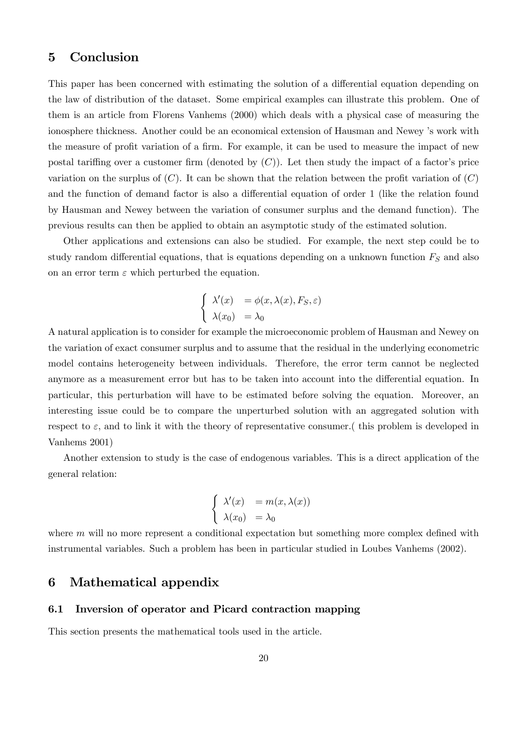## 5 Conclusion

This paper has been concerned with estimating the solution of a differential equation depending on the law of distribution of the dataset. Some empirical examples can illustrate this problem. One of them is an article from Florens Vanhems (2000) which deals with a physical case of measuring the ionosphere thickness. Another could be an economical extension of Hausman and Newey 's work with the measure of profit variation of a firm. For example, it can be used to measure the impact of new postal tariffing over a customer firm (denoted by  $(C)$ ). Let then study the impact of a factor's price variation on the surplus of  $(C)$ . It can be shown that the relation between the profit variation of  $(C)$ and the function of demand factor is also a differential equation of order 1 (like the relation found by Hausman and Newey between the variation of consumer surplus and the demand function). The previous results can then be applied to obtain an asymptotic study of the estimated solution.

Other applications and extensions can also be studied. For example, the next step could be to study random differential equations, that is equations depending on a unknown function  $F<sub>S</sub>$  and also on an error term  $\varepsilon$  which perturbed the equation.

$$
\begin{cases}\n\lambda'(x) &= \phi(x, \lambda(x), F_S, \varepsilon) \\
\lambda(x_0) &= \lambda_0\n\end{cases}
$$

A natural application is to consider for example the microeconomic problem of Hausman and Newey on the variation of exact consumer surplus and to assume that the residual in the underlying econometric model contains heterogeneity between individuals. Therefore, the error term cannot be neglected anymore as a measurement error but has to be taken into account into the differential equation. In particular, this perturbation will have to be estimated before solving the equation. Moreover, an interesting issue could be to compare the unperturbed solution with an aggregated solution with respect to  $\varepsilon$ , and to link it with the theory of representative consumer. (this problem is developed in Vanhems 2001)

Another extension to study is the case of endogenous variables. This is a direct application of the general relation:

$$
\begin{cases}\n\lambda'(x) &= m(x, \lambda(x)) \\
\lambda(x_0) &= \lambda_0\n\end{cases}
$$

where  $m$  will no more represent a conditional expectation but something more complex defined with instrumental variables. Such a problem has been in particular studied in Loubes Vanhems (2002).

## 6 Mathematical appendix

#### 6.1 Inversion of operator and Picard contraction mapping

This section presents the mathematical tools used in the article.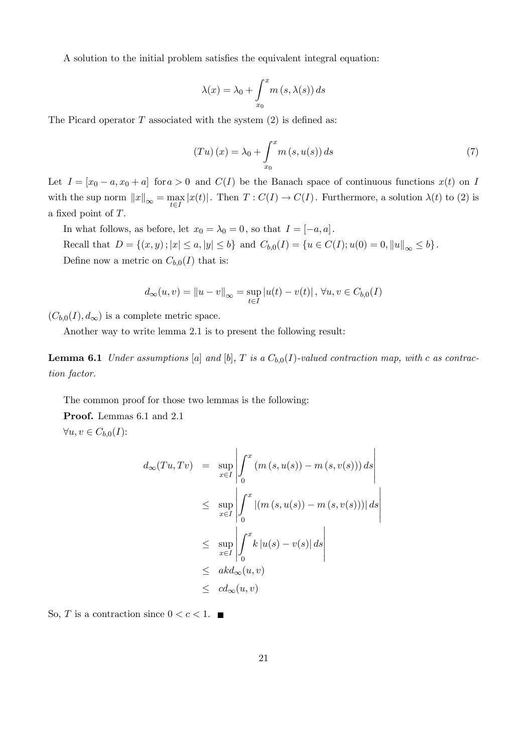A solution to the initial problem satisfies the equivalent integral equation:

$$
\lambda(x) = \lambda_0 + \int_{x_0}^x m(s, \lambda(s)) ds
$$

The Picard operator  $T$  associated with the system  $(2)$  is defined as:

$$
(Tu)(x) = \lambda_0 + \int_{x_0}^{x} m(s, u(s)) ds
$$
\n<sup>(7)</sup>

Let  $I = [x_0 - a, x_0 + a]$  for  $a > 0$  and  $C(I)$  be the Banach space of continuous functions  $x(t)$  on I with the sup norm  $||x||_{\infty} = \max_{t \in I} |x(t)|$ . Then  $T : C(I) \to C(I)$ . Furthermore, a solution  $\lambda(t)$  to (2) is a fixed point of T.

In what follows, as before, let  $x_0 = \lambda_0 = 0$ , so that  $I = [-a, a]$ . Recall that  $D = \{(x, y) ; |x| \le a, |y| \le b\}$  and  $C_{b,0}(I) = \{u \in C(I); u(0) = 0, ||u||_{\infty} \le b\}.$ Define now a metric on  $C_{b,0}(I)$  that is:

$$
d_{\infty}(u, v) = ||u - v||_{\infty} = \sup_{t \in I} |u(t) - v(t)|, \forall u, v \in C_{b,0}(I)
$$

 $(C_{b,0}(I), d_{\infty})$  is a complete metric space.

Another way to write lemma 2.1 is to present the following result:

**Lemma 6.1** Under assumptions [a] and [b], T is a  $C_{b,0}(I)$ -valued contraction map, with c as contraction factor.

The common proof for those two lemmas is the following:

Proof. Lemmas 6.1 and 2.1

 $\forall u, v \in C_{b,0}(I)$ :

$$
d_{\infty}(Tu, Tv) = \sup_{x \in I} \left| \int_{0}^{x} (m(s, u(s)) - m(s, v(s))) ds \right|
$$
  
\n
$$
\leq \sup_{x \in I} \left| \int_{0}^{x} |(m(s, u(s)) - m(s, v(s)))| ds \right|
$$
  
\n
$$
\leq \sup_{x \in I} \left| \int_{0}^{x} k |u(s) - v(s)| ds \right|
$$
  
\n
$$
\leq ak d_{\infty}(u, v)
$$
  
\n
$$
\leq cd_{\infty}(u, v)
$$

So, T is a contraction since  $0 < c < 1$ .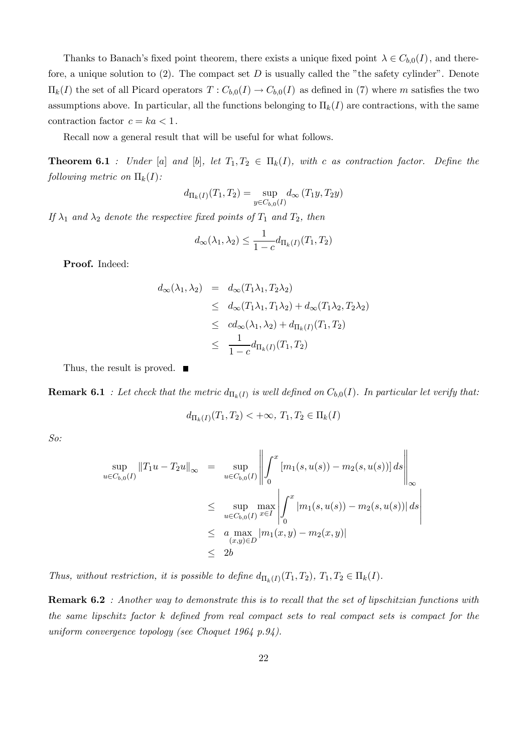Thanks to Banach's fixed point theorem, there exists a unique fixed point  $\lambda \in C_{b,0}(I)$ , and therefore, a unique solution to  $(2)$ . The compact set D is usually called the "the safety cylinder". Denote  $\Pi_k(I)$  the set of all Picard operators  $T: C_{b,0}(I) \to C_{b,0}(I)$  as defined in (7) where m satisfies the two assumptions above. In particular, all the functions belonging to  $\Pi_k(I)$  are contractions, with the same contraction factor  $c = ka < 1$ .

Recall now a general result that will be useful for what follows.

**Theorem 6.1** : Under [a] and [b], let  $T_1, T_2 \in \Pi_k(I)$ , with c as contraction factor. Define the following metric on  $\Pi_k(I)$ :

$$
d_{\Pi_k(I)}(T_1, T_2) = \sup_{y \in C_{b,0}(I)} d_{\infty}(T_1y, T_2y)
$$

If  $\lambda_1$  and  $\lambda_2$  denote the respective fixed points of  $T_1$  and  $T_2$ , then

$$
d_{\infty}(\lambda_1, \lambda_2) \le \frac{1}{1 - c} d_{\Pi_k(I)}(T_1, T_2)
$$

Proof. Indeed:

$$
d_{\infty}(\lambda_1, \lambda_2) = d_{\infty}(T_1\lambda_1, T_2\lambda_2)
$$
  
\n
$$
\leq d_{\infty}(T_1\lambda_1, T_1\lambda_2) + d_{\infty}(T_1\lambda_2, T_2\lambda_2)
$$
  
\n
$$
\leq cd_{\infty}(\lambda_1, \lambda_2) + d_{\Pi_k(I)}(T_1, T_2)
$$
  
\n
$$
\leq \frac{1}{1 - c} d_{\Pi_k(I)}(T_1, T_2)
$$

Thus, the result is proved. ■

**Remark 6.1** : Let check that the metric  $d_{\Pi_k(I)}$  is well defined on  $C_{b,0}(I)$ . In particular let verify that:

$$
d_{\Pi_k(I)}(T_1, T_2) < +\infty, T_1, T_2 \in \Pi_k(I)
$$

So:

$$
\sup_{u \in C_{b,0}(I)} ||T_1u - T_2u||_{\infty} = \sup_{u \in C_{b,0}(I)} \left\| \int_0^x [m_1(s, u(s)) - m_2(s, u(s))] ds \right\|_{\infty}
$$
  
\n
$$
\leq \sup_{u \in C_{b,0}(I)} \max_{x \in I} \left| \int_0^x |m_1(s, u(s)) - m_2(s, u(s))| ds \right|
$$
  
\n
$$
\leq a \max_{(x,y) \in D} |m_1(x, y) - m_2(x, y)|
$$
  
\n
$$
\leq 2b
$$

Thus, without restriction, it is possible to define  $d_{\Pi_k(I)}(T_1, T_2), T_1, T_2 \in \Pi_k(I)$ .

Remark 6.2 : Another way to demonstrate this is to recall that the set of lipschitzian functions with the same lipschitz factor k defined from real compact sets to real compact sets is compact for the uniform convergence topology (see Choquet 1964 p.94).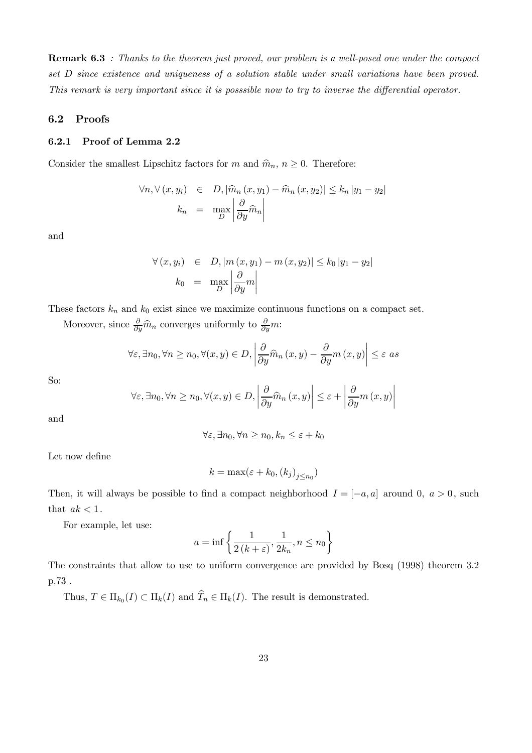Remark 6.3 : Thanks to the theorem just proved, our problem is a well-posed one under the compact set D since existence and uniqueness of a solution stable under small variations have been proved. This remark is very important since it is posssible now to try to inverse the differential operator.

## 6.2 Proofs

## 6.2.1 Proof of Lemma 2.2

Consider the smallest Lipschitz factors for m and  $\hat{m}_n, n \geq 0$ . Therefore:

$$
\forall n, \forall (x, y_i) \in D, |\widehat{m}_n(x, y_1) - \widehat{m}_n(x, y_2)| \le k_n |y_1 - y_2|
$$

$$
k_n = \max_D \left| \frac{\partial}{\partial y} \widehat{m}_n \right|
$$

and

$$
\forall (x, y_i) \in D, |m(x, y_1) - m(x, y_2)| \le k_0 |y_1 - y_2|
$$
  

$$
k_0 = \max_{D} \left| \frac{\partial}{\partial y} m \right|
$$

These factors  $k_n$  and  $k_0$  exist since we maximize continuous functions on a compact set.

Moreover, since  $\frac{\partial}{\partial y}\hat{m}_n$  converges uniformly to  $\frac{\partial}{\partial y}m$ :

$$
\forall \varepsilon, \exists n_0, \forall n \ge n_0, \forall (x, y) \in D, \left| \frac{\partial}{\partial y} \widehat{m}_n(x, y) - \frac{\partial}{\partial y} m(x, y) \right| \le \varepsilon \text{ as}
$$

So:

$$
\forall \varepsilon, \exists n_0, \forall n \ge n_0, \forall (x, y) \in D, \left| \frac{\partial}{\partial y} \widehat{m}_n(x, y) \right| \le \varepsilon + \left| \frac{\partial}{\partial y} m(x, y) \right|
$$

and

$$
\forall \varepsilon, \exists n_0, \forall n \ge n_0, k_n \le \varepsilon + k_0
$$

Let now define

$$
k = \max(\varepsilon + k_0, (k_j)_{j \le n_0})
$$

Then, it will always be possible to find a compact neighborhood  $I = [-a, a]$  around 0,  $a > 0$ , such that  $ak < 1$ .

For example, let use:

$$
a = \inf \left\{ \frac{1}{2(k+\varepsilon)}, \frac{1}{2k_n}, n \le n_0 \right\}
$$

The constraints that allow to use to uniform convergence are provided by Bosq (1998) theorem 3.2 p.73 .

Thus,  $T \in \Pi_{k_0}(I) \subset \Pi_k(I)$  and  $\widehat{T}_n \in \Pi_k(I)$ . The result is demonstrated.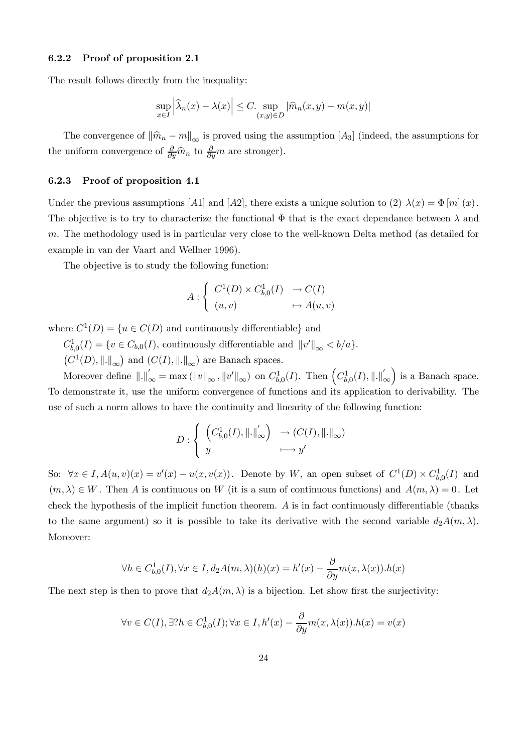#### 6.2.2 Proof of proposition 2.1

The result follows directly from the inequality:

$$
\sup_{x \in I} \left| \widehat{\lambda}_n(x) - \lambda(x) \right| \le C. \sup_{(x,y) \in D} |\widehat{m}_n(x,y) - m(x,y)|
$$

The convergence of  $\|\widehat{m}_n - m\|_{\infty}$  is proved using the assumption [A<sub>3</sub>] (indeed, the assumptions for the uniform convergence of  $\frac{\partial}{\partial y}\hat{m}_n$  to  $\frac{\partial}{\partial y}m$  are stronger).

#### 6.2.3 Proof of proposition 4.1

Under the previous assumptions [A1] and [A2], there exists a unique solution to (2)  $\lambda(x) = \Phi[m](x)$ . The objective is to try to characterize the functional  $\Phi$  that is the exact dependance between  $\lambda$  and m. The methodology used is in particular very close to the well-known Delta method (as detailed for example in van der Vaart and Wellner 1996).

The objective is to study the following function:

$$
A: \begin{cases} C^1(D) \times C^1_{b,0}(I) & \to C(I) \\ (u,v) & \mapsto A(u,v) \end{cases}
$$

where  $C^1(D) = \{u \in C(D) \text{ and continuously differentiable}\}\$ and

 $C_{b,0}^1(I) = \{v \in C_{b,0}(I),$  continuously differentiable and  $||v'||_{\infty} < b/a\}.$ <br> $(C^1(D), ||.||_{\infty})$  and  $(C(I), ||.||_{\infty})$  are Banach spaces.

 $C^1(D), \|\. \|_{\infty}$  and  $(C(I), \|\. \|_{\infty})$  are Banach spaces.

Moreover define  $\|.\|'_{\infty} = \max (\|v\|_{\infty}, \|v'\|_{\infty})$  on  $C^1_{b,0}(I)$ . Then  $\left(C^1_{b,0}(I), \|.\|'_{\infty}\right)$ ∞ ) is a Banach space. To demonstrate it, use the uniform convergence of functions and its application to derivability. The use of such a norm allows to have the continuity and linearity of the following function:

$$
D: \begin{cases} \left(C^1_{b,0}(I), \left\| . \right\|_\infty' \right) & \to (C(I), \left\| . \right\|_\infty) \\ y & \longmapsto y' \end{cases}
$$

So:  $\forall x \in I, A(u, v)(x) = v'(x) - u(x, v(x))$ . Denote by W, an open subset of  $C^1(D) \times C^1_{b,0}(I)$  and  $(m, \lambda) \in W$ . Then A is continuous on W (it is a sum of continuous functions) and  $A(m, \lambda) = 0$ . Let check the hypothesis of the implicit function theorem. A is in fact continuously differentiable (thanks to the same argument) so it is possible to take its derivative with the second variable  $d_2A(m,\lambda)$ . Moreover:

$$
\forall h \in C_{b,0}^1(I), \forall x \in I, d_2A(m,\lambda)(h)(x) = h'(x) - \frac{\partial}{\partial y}m(x,\lambda(x)).h(x)
$$

The next step is then to prove that  $d_2A(m, \lambda)$  is a bijection. Let show first the surjectivity:

$$
\forall v \in C(I), \exists? h \in C_{b,0}^1(I); \forall x \in I, h'(x) - \frac{\partial}{\partial y} m(x, \lambda(x)).h(x) = v(x)
$$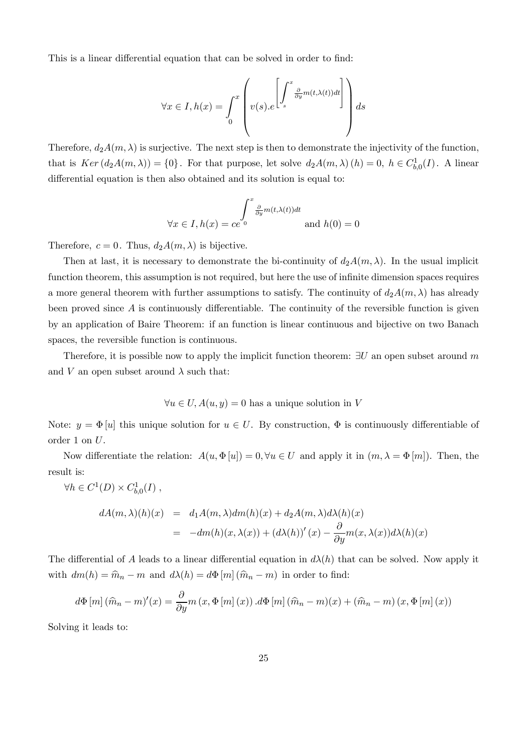This is a linear differential equation that can be solved in order to find:

$$
\forall x \in I, h(x) = \int_0^x \left( v(s) \cdot e^{\left[ \int_s^x \frac{\partial}{\partial y} m(t, \lambda(t)) dt \right]} \right) ds
$$

Therefore,  $d_2A(m, \lambda)$  is surjective. The next step is then to demonstrate the injectivity of the function, that is  $Ker (d_2A(m,\lambda)) = \{0\}$ . For that purpose, let solve  $d_2A(m,\lambda)(h) = 0$ ,  $h \in C_{b,0}^1(I)$ . A linear differential equation is then also obtained and its solution is equal to:

$$
\forall x \in I, h(x) = ce^{\int_{0}^{x} \frac{\partial}{\partial y} m(t, \lambda(t)) dt}
$$
 and  $h(0) = 0$ 

Therefore,  $c = 0$ . Thus,  $d_2A(m, \lambda)$  is bijective.

Then at last, it is necessary to demonstrate the bi-continuity of  $d_2A(m, \lambda)$ . In the usual implicit function theorem, this assumption is not required, but here the use of infinite dimension spaces requires a more general theorem with further assumptions to satisfy. The continuity of  $d_2A(m,\lambda)$  has already been proved since  $A$  is continuously differentiable. The continuity of the reversible function is given by an application of Baire Theorem: if an function is linear continuous and bijective on two Banach spaces, the reversible function is continuous.

Therefore, it is possible now to apply the implicit function theorem:  $\exists U$  an open subset around m and V an open subset around  $\lambda$  such that:

$$
\forall u \in U, A(u, y) = 0
$$
 has a unique solution in V

Note:  $y = \Phi[u]$  this unique solution for  $u \in U$ . By construction,  $\Phi$  is continuously differentiable of order 1 on U.

Now differentiate the relation:  $A(u, \Phi[u]) = 0, \forall u \in U$  and apply it in  $(m, \lambda = \Phi[m])$ . Then, the result is:

$$
\forall h \in C^1(D) \times C^1_{b,0}(I) ,
$$

$$
dA(m,\lambda)(h)(x) = d_1 A(m,\lambda) dm(h)(x) + d_2 A(m,\lambda) d\lambda(h)(x)
$$
  
= 
$$
-dm(h)(x,\lambda(x)) + (d\lambda(h))'(x) - \frac{\partial}{\partial y} m(x,\lambda(x)) d\lambda(h)(x)
$$

The differential of A leads to a linear differential equation in  $d\lambda(h)$  that can be solved. Now apply it with  $dm(h) = \hat{m}_n - m$  and  $d\lambda(h) = d\Phi[m](\hat{m}_n - m)$  in order to find:

$$
d\Phi[m](\hat{m}_n - m)'(x) = \frac{\partial}{\partial y} m(x, \Phi[m](x)) . d\Phi[m](\hat{m}_n - m)(x) + (\hat{m}_n - m)(x, \Phi[m](x))
$$

Solving it leads to: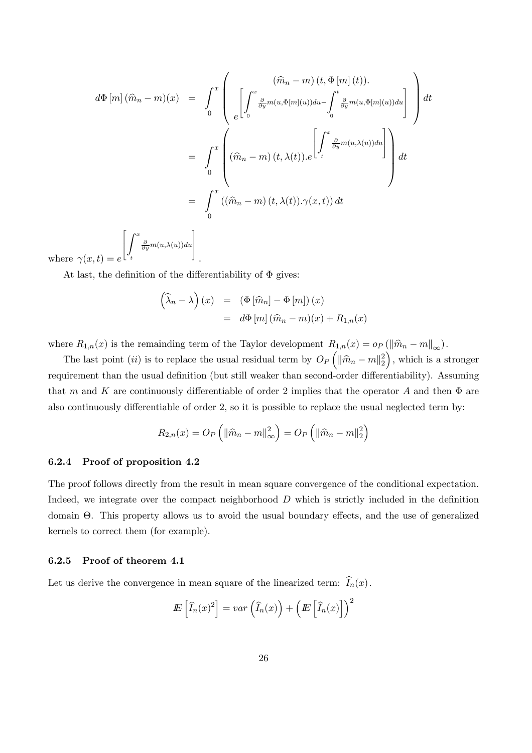$$
d\Phi[m](\hat{m}_n - m)(x) = \int_0^x \left( \left[ \int_0^x \frac{\partial}{\partial y} m(u, \Phi[m](u)) du - \int_0^t \frac{\partial}{\partial y} m(u, \Phi[m](u)) du \right] \right) dt
$$
  
\n
$$
= \int_0^x \left( (\hat{m}_n - m)(t, \lambda(t)), e^{\left[ \int_t^x \frac{\partial}{\partial y} m(u, \lambda(u)) du \right]} \right) dt
$$
  
\n
$$
= \int_0^x ((\hat{m}_n - m)(t, \lambda(t)), \gamma(x, t)) dt
$$

where  $\gamma(x,t) = e$  $\overline{1}$ t  $\frac{\partial}{\partial y}m(u,\lambda(u))du$ 

At last, the definition of the differentiability of  $\Phi$  gives:

.

$$
\begin{aligned}\n\left(\widehat{\lambda}_n - \lambda\right)(x) &= \left(\Phi\left[\widehat{m}_n\right] - \Phi\left[m\right]\right)(x) \\
&= d\Phi\left[m\right](\widehat{m}_n - m)(x) + R_{1,n}(x)\n\end{aligned}
$$

where  $R_{1,n}(x)$  is the remainding term of the Taylor development  $R_{1,n}(x) = o_P(\|\widehat{m}_n - m\|_{\infty})$ .

The last point (ii) is to replace the usual residual term by  $O_P(\|\widehat{m}_n - m\|_2^2)$ ), which is a stronger requirement than the usual definition (but still weaker than second-order differentiability). Assuming that m and K are continuously differentiable of order 2 implies that the operator A and then  $\Phi$  are also continuously differentiable of order 2, so it is possible to replace the usual neglected term by:

$$
R_{2,n}(x) = O_P\left(\left\|\widehat{m}_n - m\right\|_{\infty}^2\right) = O_P\left(\left\|\widehat{m}_n - m\right\|_2^2\right)
$$

#### 6.2.4 Proof of proposition 4.2

The proof follows directly from the result in mean square convergence of the conditional expectation. Indeed, we integrate over the compact neighborhood  $D$  which is strictly included in the definition domain Θ. This property allows us to avoid the usual boundary effects, and the use of generalized kernels to correct them (for example).

#### 6.2.5 Proof of theorem 4.1

Let us derive the convergence in mean square of the linearized term:  $I_n(x)$ .

$$
I\!\!E\left[\widehat{I}_n(x)^2\right] = var\left(\widehat{I}_n(x)\right) + \left(E\left[\widehat{I}_n(x)\right]\right)^2
$$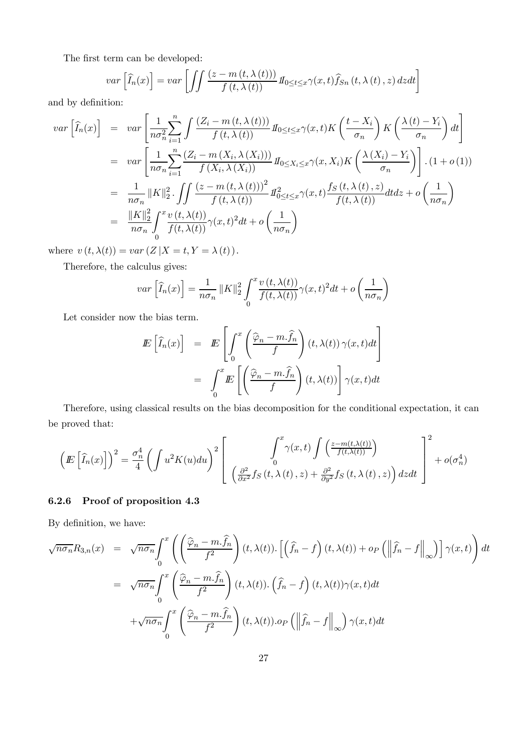The first term can be developed:

$$
var\left[\widehat{I}_n(x)\right] = var\left[\iint \frac{(z - m(t, \lambda(t)))}{f(t, \lambda(t))} \, I_{0 \le t \le x} \gamma(x, t) \widehat{f}_{Sn}(t, \lambda(t), z) \, dzdt\right]
$$

and by definition:

$$
var\left[\widehat{I}_{n}(x)\right] = var\left[\frac{1}{n\sigma_{n}^{2}}\sum_{i=1}^{n}\int\frac{(Z_{i} - m(t,\lambda(t)))}{f(t,\lambda(t))}H_{0\leq t\leq x}\gamma(x,t)K\left(\frac{t-X_{i}}{\sigma_{n}}\right)K\left(\frac{\lambda(t)-Y_{i}}{\sigma_{n}}\right)dt\right]
$$
  
\n
$$
= var\left[\frac{1}{n\sigma_{n}}\sum_{i=1}^{n}\frac{(Z_{i} - m(X_{i},\lambda(X_{i})))}{f(X_{i},\lambda(X_{i}))}H_{0\leq X_{i}\leq x}\gamma(x,X_{i})K\left(\frac{\lambda(X_{i}) - Y_{i}}{\sigma_{n}}\right)\right].(1+o(1))
$$
  
\n
$$
= \frac{1}{n\sigma_{n}}\|K\|_{2}^{2}\cdot \iint\frac{(z - m(t,\lambda(t)))^{2}}{f(t,\lambda(t))}H_{0\leq t\leq x}^{2}\gamma(x,t)\frac{f_{S}(t,\lambda(t),z)}{f(t,\lambda(t))}dtdz + o\left(\frac{1}{n\sigma_{n}}\right)
$$
  
\n
$$
= \frac{\|K\|_{2}^{2}}{n\sigma_{n}}\int_{0}^{x}\frac{v(t,\lambda(t))}{f(t,\lambda(t))}\gamma(x,t)^{2}dt + o\left(\frac{1}{n\sigma_{n}}\right)
$$

where  $v(t, \lambda(t)) = var(Z | X = t, Y = \lambda(t))$ .

Therefore, the calculus gives:

$$
var\left[\widehat{I}_n(x)\right] = \frac{1}{n\sigma_n} ||K||_2^2 \int_0^x \frac{v(t,\lambda(t))}{f(t,\lambda(t))} \gamma(x,t)^2 dt + o\left(\frac{1}{n\sigma_n}\right)
$$

Let consider now the bias term.

$$
E\left[\widehat{I}_n(x)\right] = E\left[\int_0^x \left(\frac{\widehat{\varphi}_n - m.\widehat{f}_n}{f}\right)(t,\lambda(t))\,\gamma(x,t)dt\right]
$$

$$
= \int_0^x E\left[\left(\frac{\widehat{\varphi}_n - m.\widehat{f}_n}{f}\right)(t,\lambda(t))\right]\gamma(x,t)dt
$$

Therefore, using classical results on the bias decomposition for the conditional expectation, it can be proved that:

$$
\left(E\left[\widehat{I}_n(x)\right]\right)^2 = \frac{\sigma_n^4}{4} \left(\int u^2 K(u) du\right)^2 \left[\int_0^x \gamma(x,t) \int \left(\frac{z - m(t,\lambda(t))}{f(t,\lambda(t))}\right) d\lambda(t)\right] + o(\sigma_n^4)
$$

## 6.2.6 Proof of proposition 4.3

By definition, we have:

$$
\sqrt{n\sigma_n}R_{3,n}(x) = \sqrt{n\sigma_n}\int_0^x \left( \left(\frac{\widehat{\varphi}_n - m.\widehat{f}_n}{f^2}\right)(t,\lambda(t)) \cdot \left[ \left(\widehat{f}_n - f\right)(t,\lambda(t)) + o_P\left(\left\|\widehat{f}_n - f\right\|_{\infty}\right) \right] \gamma(x,t) \right) dt
$$
  
\n
$$
= \sqrt{n\sigma_n}\int_0^x \left( \frac{\widehat{\varphi}_n - m.\widehat{f}_n}{f^2}\right)(t,\lambda(t)) \cdot \left(\widehat{f}_n - f\right)(t,\lambda(t)) \gamma(x,t) dt
$$
  
\n
$$
+ \sqrt{n\sigma_n}\int_0^x \left( \frac{\widehat{\varphi}_n - m.\widehat{f}_n}{f^2}\right)(t,\lambda(t)) \cdot o_P\left(\left\|\widehat{f}_n - f\right\|_{\infty}\right) \gamma(x,t) dt
$$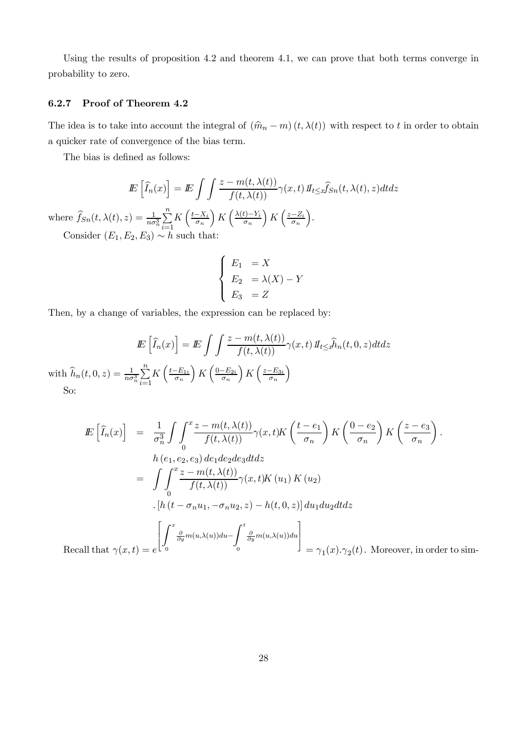Using the results of proposition 4.2 and theorem 4.1, we can prove that both terms converge in probability to zero.

## 6.2.7 Proof of Theorem 4.2

The idea is to take into account the integral of  $(\hat{m}_n - m)(t, \lambda(t))$  with respect to t in order to obtain a quicker rate of convergence of the bias term.

The bias is defined as follows:

$$
\mathbb{E}\left[\widehat{I}_n(x)\right] = \mathbb{E}\int\int \frac{z - m(t, \lambda(t))}{f(t, \lambda(t))} \gamma(x, t) \, \mathbb{I}_{t \le x} \widehat{f}_{Sn}(t, \lambda(t), z) dt dz
$$

where  $\widehat{f}_{Sn}(t, \lambda(t), z) = \frac{1}{n\sigma_n^3} \sum_{i=1}^n$  $i=1$  $K\left(\frac{t-X_i}{\sigma_n}\right)$ )  $K\left(\frac{\lambda(t)-Y_i}{\sigma_n}\right)$  $\sum K\left(\frac{z-Z_i}{\sigma_n}\right)$ ´ . Consider  $(E_1, E_2, E_3) \sim h$  such that:

$$
\begin{cases}\nE_1 = X \\
E_2 = \lambda(X) - Y \\
E_3 = Z\n\end{cases}
$$

Then, by a change of variables, the expression can be replaced by:

$$
E\left[\widehat{I}_n(x)\right] = E\int \int \frac{z - m(t, \lambda(t))}{f(t, \lambda(t))} \gamma(x, t) \, dt_{t \leq x} \widehat{h}_n(t, 0, z) dt dz
$$

$$
h(t, 0, z) = \frac{1}{n\sigma_n^3} \sum_{i=1}^n K\left(\frac{t - E_{1i}}{\sigma_n}\right) K\left(\frac{0 - E_{2i}}{\sigma_n}\right) K\left(\frac{z - E_{3i}}{\sigma_n}\right)
$$

with  $\widehat{h}_n(t, 0, z) = \frac{1}{n\sigma}$ So:

$$
E\left[\hat{I}_n(x)\right] = \frac{1}{\sigma_n^3} \int \int_0^x \frac{z - m(t, \lambda(t))}{f(t, \lambda(t))} \gamma(x, t) K\left(\frac{t - e_1}{\sigma_n}\right) K\left(\frac{0 - e_2}{\sigma_n}\right) K\left(\frac{z - e_3}{\sigma_n}\right).
$$
  
\n
$$
h(e_1, e_2, e_3) de_1de_2de_3dt dz
$$
  
\n
$$
= \int \int_0^x \frac{z - m(t, \lambda(t))}{f(t, \lambda(t))} \gamma(x, t) K(u_1) K(u_2)
$$
  
\n
$$
\cdot [h(t - \sigma_n u_1, -\sigma_n u_2, z) - h(t, 0, z)] du_1 du_2 dt dz
$$
  
\n
$$
\left[\int_0^x \frac{\partial}{\partial y} m(u, \lambda(u)) du - \int_0^t \frac{\partial}{\partial y} m(u, \lambda(u)) du\right] = \gamma_1(x). \gamma_2(t).
$$
 Moreover, in order to sim-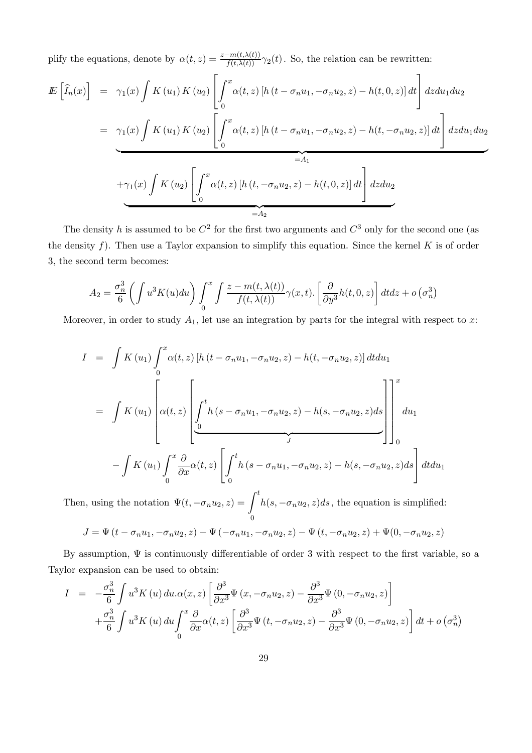plify the equations, denote by  $\alpha(t,z) = \frac{z-m(t,\lambda(t))}{f(t,\lambda(t))} \gamma_2(t)$ . So, the relation can be rewritten:

$$
E\left[\hat{I}_n(x)\right] = \gamma_1(x) \int K(u_1) K(u_2) \left[\int_0^x \alpha(t, z) \left[h\left(t - \sigma_n u_1, -\sigma_n u_2, z\right) - h(t, 0, z)\right] dt\right] dz du_1 du_2
$$
  
\n
$$
= \gamma_1(x) \int K(u_1) K(u_2) \left[\int_0^x \alpha(t, z) \left[h\left(t - \sigma_n u_1, -\sigma_n u_2, z\right) - h(t, -\sigma_n u_2, z)\right] dt\right] dz du_1 du_2
$$
  
\n
$$
= A_1
$$
  
\n
$$
+ \gamma_1(x) \int K(u_2) \left[\int_0^x \alpha(t, z) \left[h\left(t, -\sigma_n u_2, z\right) - h(t, 0, z)\right] dt\right] dz du_2
$$
  
\n
$$
= A_2
$$

The density h is assumed to be  $C^2$  for the first two arguments and  $C^3$  only for the second one (as the density f). Then use a Taylor expansion to simplify this equation. Since the kernel  $K$  is of order 3, the second term becomes:

$$
A_2 = \frac{\sigma_n^3}{6} \left( \int u^3 K(u) du \right) \int_0^x \int \frac{z - m(t, \lambda(t))}{f(t, \lambda(t))} \gamma(x, t) \cdot \left[ \frac{\partial}{\partial y^3} h(t, 0, z) \right] dt dz + o\left(\sigma_n^3\right)
$$

Moreover, in order to study  $A_1$ , let use an integration by parts for the integral with respect to x:

$$
I = \int K(u_1) \int_0^x \alpha(t, z) \left[ h(t - \sigma_n u_1, -\sigma_n u_2, z) - h(t, -\sigma_n u_2, z) \right] dt du_1
$$
  
\n
$$
= \int K(u_1) \left[ \alpha(t, z) \left[ \underbrace{\int_0^t h(s - \sigma_n u_1, -\sigma_n u_2, z) - h(s, -\sigma_n u_2, z) ds}_{J} \right] \right]_0^x du_1
$$
  
\n
$$
- \int K(u_1) \int_0^x \frac{\partial}{\partial x} \alpha(t, z) \left[ \int_0^t h(s - \sigma_n u_1, -\sigma_n u_2, z) - h(s, -\sigma_n u_2, z) ds \right] dt du_1
$$

Then, using the notation  $\Psi(t, -\sigma_n u_2, z) = \int$ 0 t  $h(s, -\sigma_n u_2, z)ds$ , the equation is simplified:

$$
J = \Psi(t - \sigma_n u_1, -\sigma_n u_2, z) - \Psi(-\sigma_n u_1, -\sigma_n u_2, z) - \Psi(t, -\sigma_n u_2, z) + \Psi(0, -\sigma_n u_2, z)
$$

By assumption,  $\Psi$  is continuously differentiable of order 3 with respect to the first variable, so a Taylor expansion can be used to obtain:

$$
I = -\frac{\sigma_n^3}{6} \int u^3 K(u) du. \alpha(x, z) \left[ \frac{\partial^3}{\partial x^3} \Psi(x, -\sigma_n u_2, z) - \frac{\partial^3}{\partial x^3} \Psi(0, -\sigma_n u_2, z) \right] + \frac{\sigma_n^3}{6} \int u^3 K(u) du \int_0^x \frac{\partial}{\partial x} \alpha(t, z) \left[ \frac{\partial^3}{\partial x^3} \Psi(t, -\sigma_n u_2, z) - \frac{\partial^3}{\partial x^3} \Psi(0, -\sigma_n u_2, z) \right] dt + o(\sigma_n^3)
$$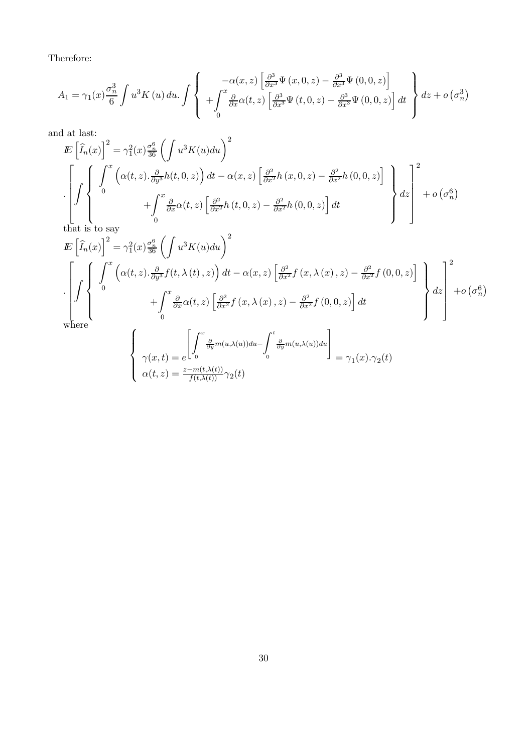Therefore:

$$
A_{1} = \gamma_{1}(x)\frac{\sigma_{n}^{3}}{6} \int u^{3}K(u) du. \int \left\{ \begin{array}{c} -\alpha(x,z) \left[ \frac{\partial^{3}}{\partial x^{3}} \Psi(x,0,z) - \frac{\partial^{3}}{\partial x^{3}} \Psi(0,0,z) \right] \\ + \int_{0}^{x} \frac{\partial}{\partial x} \alpha(t,z) \left[ \frac{\partial^{3}}{\partial x^{3}} \Psi(x,0,z) - \frac{\partial^{3}}{\partial x^{3}} \Psi(0,0,z) \right] dt \\ 0 \end{array} \right\} dz + o\left(\sigma_{n}^{3}\right)
$$

and at last:

$$
E\left[\hat{I}_n(x)\right]^2 = \gamma_1^2(x)\frac{\sigma_n^6}{36}\left(\int u^3K(u)du\right)^2
$$
  

$$
\cdot \left[\int\left\{\int_0^x \left(\alpha(t,z).\frac{\partial}{\partial y^3}h(t,0,z)\right)dt - \alpha(x,z)\left[\frac{\partial^2}{\partial x^2}h(x,0,z) - \frac{\partial^2}{\partial x^2}h(0,0,z)\right] \atop + \int_0^x \frac{\partial}{\partial x}\alpha(t,z)\left[\frac{\partial^2}{\partial x^2}h(t,0,z) - \frac{\partial^2}{\partial x^2}h(0,0,z)\right]dt\right\} dz + o\left(\sigma_n^6\right)
$$

that is to say

 $\overline{\mathcal{L}}$ 

 $\alpha(t,z) = \frac{z-m(t,\lambda(t))}{f(t,\lambda(t))}\gamma_2(t)$ 

$$
\begin{split}\n\mathbb{E}\left[\widehat{I}_{n}(x)\right]^{2} &= \gamma_{1}^{2}(x)\frac{\sigma_{n}^{6}}{36}\left(\int u^{3}K(u)du\right)^{2} \\
&\cdot \left[\int\limits_{0}^{1} \left\{\begin{array}{l}\int_{0}^{x}\left(\alpha(t,z).\frac{\partial}{\partial y^{3}}f(t,\lambda\left(t\right),z)\right)dt - \alpha(x,z)\left[\frac{\partial^{2}}{\partial x^{2}}f\left(x,\lambda\left(x\right),z\right) - \frac{\partial^{2}}{\partial x^{2}}f\left(0,0,z\right)\right] \\ &+ \int_{0}^{x}\frac{\partial}{\partial x}\alpha(t,z)\left[\frac{\partial^{2}}{\partial x^{2}}f\left(x,\lambda\left(x\right),z\right) - \frac{\partial^{2}}{\partial x^{2}}f\left(0,0,z\right)\right]dt \\ &\text{where}\end{array}\right\} dz\right] + o\left(\sigma_{n}^{6}\right) \\
\text{where}\n\left\{\n\begin{array}{l}\n\int_{0}^{x}\frac{\partial}{\partial y}m(u,\lambda(u))du - \int_{0}^{t}\frac{\partial}{\partial y}m(u,\lambda(u))du \\
\int_{0}^{1}dx\left[\frac{\partial}{\partial y}m(u,\lambda(u))du\right] - \int_{0}^{t}\frac{\partial}{\partial y}m(u,\lambda(u))du\n\end{array}\n\right\} = \gamma_{1}(x).\gamma_{2}(t)\n\end{split}
$$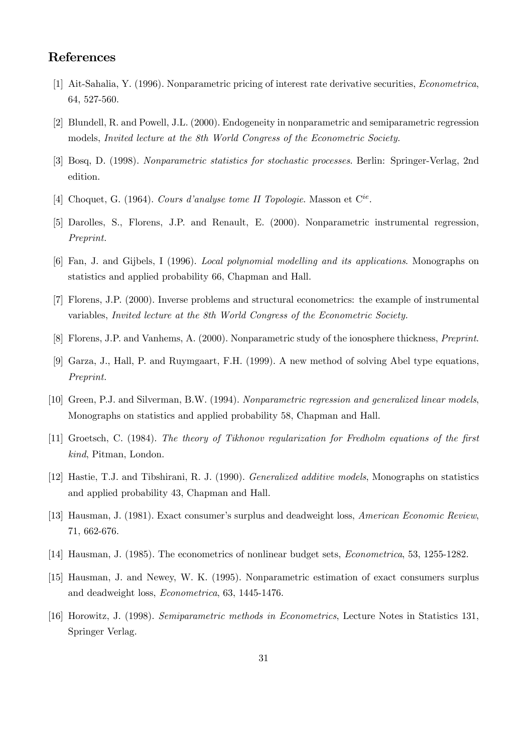## References

- [1] Ait-Sahalia, Y. (1996). Nonparametric pricing of interest rate derivative securities, Econometrica, 64, 527-560.
- [2] Blundell, R. and Powell, J.L. (2000). Endogeneity in nonparametric and semiparametric regression models, Invited lecture at the 8th World Congress of the Econometric Society.
- [3] Bosq, D. (1998). Nonparametric statistics for stochastic processes. Berlin: Springer-Verlag, 2nd edition.
- [4] Choquet, G. (1964). Cours d'analyse tome II Topologie. Masson et  $C^{ie}$ .
- [5] Darolles, S., Florens, J.P. and Renault, E. (2000). Nonparametric instrumental regression, Preprint.
- [6] Fan, J. and Gijbels, I (1996). Local polynomial modelling and its applications. Monographs on statistics and applied probability 66, Chapman and Hall.
- [7] Florens, J.P. (2000). Inverse problems and structural econometrics: the example of instrumental variables, Invited lecture at the 8th World Congress of the Econometric Society.
- [8] Florens, J.P. and Vanhems, A. (2000). Nonparametric study of the ionosphere thickness, Preprint.
- [9] Garza, J., Hall, P. and Ruymgaart, F.H. (1999). A new method of solving Abel type equations, Preprint.
- [10] Green, P.J. and Silverman, B.W. (1994). Nonparametric regression and generalized linear models, Monographs on statistics and applied probability 58, Chapman and Hall.
- [11] Groetsch, C. (1984). The theory of Tikhonov regularization for Fredholm equations of the first kind, Pitman, London.
- [12] Hastie, T.J. and Tibshirani, R. J. (1990). Generalized additive models, Monographs on statistics and applied probability 43, Chapman and Hall.
- [13] Hausman, J. (1981). Exact consumer's surplus and deadweight loss, American Economic Review, 71, 662-676.
- [14] Hausman, J. (1985). The econometrics of nonlinear budget sets, Econometrica, 53, 1255-1282.
- [15] Hausman, J. and Newey, W. K. (1995). Nonparametric estimation of exact consumers surplus and deadweight loss, Econometrica, 63, 1445-1476.
- [16] Horowitz, J. (1998). Semiparametric methods in Econometrics, Lecture Notes in Statistics 131, Springer Verlag.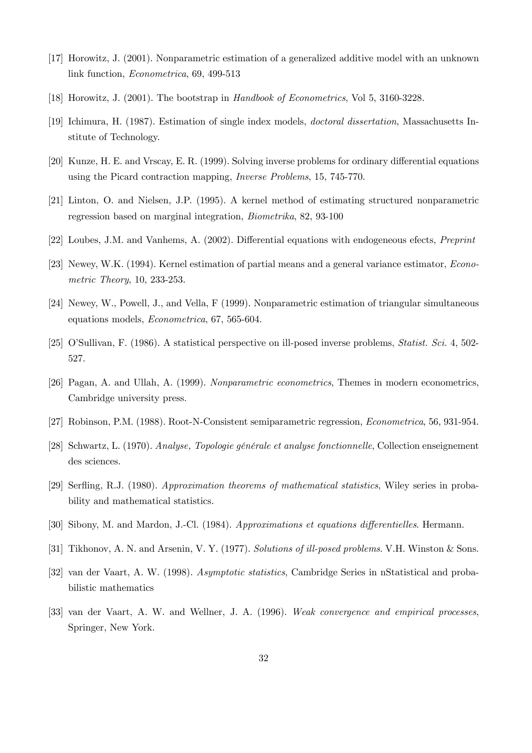- [17] Horowitz, J. (2001). Nonparametric estimation of a generalized additive model with an unknown link function, Econometrica, 69, 499-513
- [18] Horowitz, J. (2001). The bootstrap in Handbook of Econometrics, Vol 5, 3160-3228.
- [19] Ichimura, H. (1987). Estimation of single index models, doctoral dissertation, Massachusetts Institute of Technology.
- [20] Kunze, H. E. and Vrscay, E. R. (1999). Solving inverse problems for ordinary differential equations using the Picard contraction mapping, Inverse Problems, 15, 745-770.
- [21] Linton, O. and Nielsen, J.P. (1995). A kernel method of estimating structured nonparametric regression based on marginal integration, Biometrika, 82, 93-100
- [22] Loubes, J.M. and Vanhems, A. (2002). Differential equations with endogeneous efects, Preprint
- [23] Newey, W.K. (1994). Kernel estimation of partial means and a general variance estimator, Econometric Theory, 10, 233-253.
- [24] Newey, W., Powell, J., and Vella, F (1999). Nonparametric estimation of triangular simultaneous equations models, Econometrica, 67, 565-604.
- [25] O'Sullivan, F. (1986). A statistical perspective on ill-posed inverse problems, Statist. Sci. 4, 502- 527.
- [26] Pagan, A. and Ullah, A. (1999). Nonparametric econometrics, Themes in modern econometrics, Cambridge university press.
- [27] Robinson, P.M. (1988). Root-N-Consistent semiparametric regression, Econometrica, 56, 931-954.
- [28] Schwartz, L. (1970). Analyse, Topologie générale et analyse fonctionnelle, Collection enseignement des sciences.
- [29] Serfling, R.J. (1980). Approximation theorems of mathematical statistics, Wiley series in probability and mathematical statistics.
- [30] Sibony, M. and Mardon, J.-Cl. (1984). Approximations et equations differentielles. Hermann.
- [31] Tikhonov, A. N. and Arsenin, V. Y. (1977). Solutions of ill-posed problems. V.H. Winston & Sons.
- [32] van der Vaart, A. W. (1998). Asymptotic statistics, Cambridge Series in nStatistical and probabilistic mathematics
- [33] van der Vaart, A. W. and Wellner, J. A. (1996). Weak convergence and empirical processes, Springer, New York.